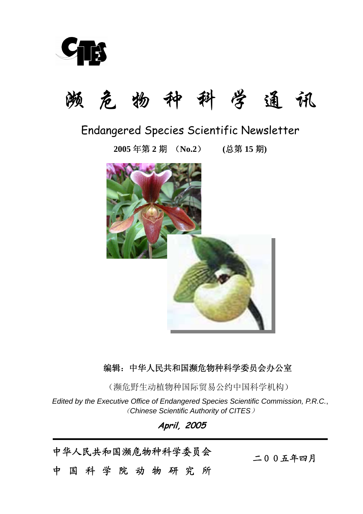

# 濒 危 物 种 科 学 通 讯

## Endangered Species Scientific Newsletter

**2005** 年第 **2** 期 (**No.2**) **(**总第 **15** 期**)**



## 编辑:中华人民共和国濒危物种科学委员会办公室

(濒危野生动植物种国际贸易公约中国科学机构)

*Edited by the Executive Office of Endangered Species Scientific Commission, P.R.C.*, (*Chinese Scientific Authority of CITES*)

**April, 2005** 

中华人民共和国濒危物种科学委员会

中国科学院动物研究所

二00五年四月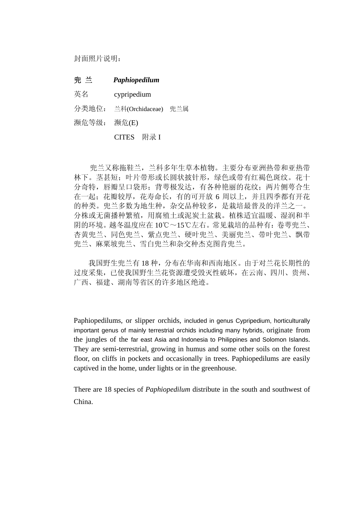封面照片说明:

#### 兜 兰*Paphiopedilum*

英名 cypripedium

分类地位: 兰科(Orchidaceae) 兜兰属

濒危等级: 濒危(E)

CITES 附录 I

 兜兰又称拖鞋兰,兰科多年生草本植物。主要分布亚洲热带和亚热带 林下。茎甚短;叶片带形或长圆状披针形,绿色或带有红褐色斑纹。花十 分奇特,唇瓣呈口袋形;背萼极发达,有各种艳丽的花纹;两片侧萼合生 在一起;花瓣较厚,花寿命长,有的可开放 6 周以上,并且四季都有开花 的种类。兜兰多数为地生种,杂交品种较多,是栽培最普及的洋兰之一。 分株或无菌播种繁殖,用腐殖土或泥炭土盆栽。植株适宜温暖、湿润和半 阴的环境。越冬温度应在 10℃~15℃左右。常见栽培的品种有:卷萼兜兰、 杏黄兜兰、同色兜兰、紫点兜兰、硬叶兜兰、美丽兜兰、带叶兜兰、飘带 兜兰、麻粟坡兜兰、雪白兜兰和杂交种杰克图肯兜兰。

我国野生兜兰有 18 种,分布在华南和西南地区。由于对兰花长期性的 过度采集,已使我国野生兰花资源遭受毁灭性破坏,在云南、四川、贵州、 广西、福建、湖南等省区的许多地区绝迹。

Paphiopedilums, or slipper orchids, included in genus Cypripedium, horticulturally important genus of mainly terrestrial orchids including many hybrids, originate from the jungles of the far east Asia and Indonesia to Philippines and Solomon Islands. They are semi-terrestrial, growing in humus and some other soils on the forest floor, on cliffs in pockets and occasionally in trees. Paphiopedilums are easily captived in the home, under lights or in the greenhouse.

There are 18 species of *Paphiopedilum* distribute in the south and southwest of China.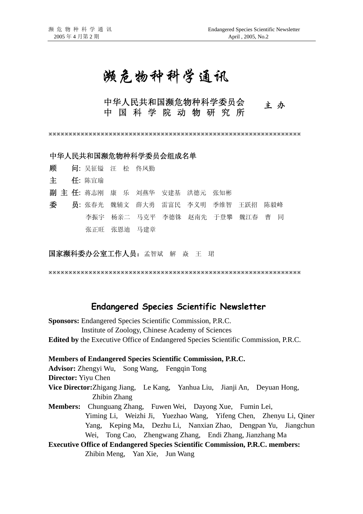## 濒危物种科学通讯

## 中华人民共和国濒危物种科学委员会<br>中 国 科 学 院 动 物 研 究 所

ÚÚÚÚÚÚÚÚÚÚÚÚÚÚÚÚÚÚÚÚÚÚÚÚÚÚÚÚÚÚÚÚÚÚÚÚÚÚÚÚÚÚÚÚÚÚÚÚÚÚÚÚÚÚÚÚÚÚÚÚÚÚÚ

#### 中华人民共和国濒危物种科学委员会组成名单

顾问: 吴征镒 汪 松 佟凤勤 主任: 陈宜瑜 副 主 任: 蒋志刚 康 乐 刘燕华 安建基 洪德元 张知彬 委 员: 张春光 魏辅文 薛大勇 雷富民 李义明 季维智 王跃招 陈毅峰 李振宇 杨亲二 马克平 李德铢 赵南先 于登攀 魏江春 曹 同 张正旺 张恩迪 马建章

国家濒科委办公室工作人员: 孟智斌 解 焱 王 珺

ÚÚÚÚÚÚÚÚÚÚÚÚÚÚÚÚÚÚÚÚÚÚÚÚÚÚÚÚÚÚÚÚÚÚÚÚÚÚÚÚÚÚÚÚÚÚÚÚÚÚÚÚÚÚÚÚÚÚÚÚÚÚÚ

#### **Endangered Species Scientific Newsletter**

**Sponsors:** Endangered Species Scientific Commission, P.R.C. Institute of Zoology, Chinese Academy of Sciences **Edited by** the Executive Office of Endangered Species Scientific Commission, P.R.C.

**Members of Endangered Species Scientific Commission, P.R.C. Advisor:** Zhengyi Wu, Song Wang, Fengqin Tong **Director:** Yiyu Chen **Vice Director:**Zhigang Jiang, Le Kang, Yanhua Liu, Jianji An, Deyuan Hong, Zhibin Zhang **Members:** Chunguang Zhang, Fuwen Wei, Dayong Xue, Fumin Lei, Yiming Li, Weizhi Ji, Yuezhao Wang, Yifeng Chen, Zhenyu Li, Qiner Yang, Keping Ma, Dezhu Li, Nanxian Zhao, Dengpan Yu, Jiangchun Wei, Tong Cao, Zhengwang Zhang, Endi Zhang, Jianzhang Ma **Executive Office of Endangered Species Scientific Commission, P.R.C. members:**  Zhibin Meng, Yan Xie, Jun Wang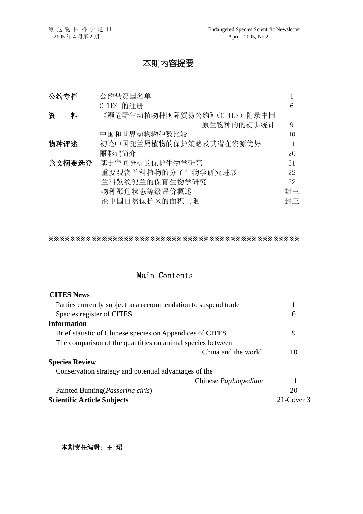## 本期内容提要

| 公约专栏   | 公约禁贸国名单                      |    |
|--------|------------------------------|----|
|        | CITES 的注册                    | 6  |
| 资<br>料 | 《濒危野生动植物种国际贸易公约》(CITES) 附录中国 |    |
|        | 原生物种的的初步统计                   | 9  |
|        | 中国和世界动物物种数比较                 | 10 |
| 物种评述   | 初论中国兜兰属植物的保护策略及其潜在资源优势       | 11 |
|        | 丽彩鹀简介                        | 20 |
| 论文摘要选登 | 基于空间分析的保护生物学研究               | 21 |
|        | 重要观赏兰科植物的分子生物学研究进展           | 22 |
|        | 兰科紫纹兜兰的保育生物学研究               | 22 |
|        | 物种濒危状态等级评价概述                 | 封三 |
|        | 论中国自然保护区的面积上限                | 封三 |

ÚÚÚÚÚÚÚÚÚÚÚÚÚÚÚÚÚÚÚÚÚÚÚÚÚÚÚÚÚÚÚÚÚÚÚÚÚÚÚÚÚÚÚÚÚÚÚ

### Main Contents

| <b>CITES News</b>                                              |               |
|----------------------------------------------------------------|---------------|
| Parties currently subject to a recommendation to suspend trade | 1             |
| Species register of CITES                                      | 6             |
| <b>Information</b>                                             |               |
| Brief statistic of Chinese species on Appendices of CITES      | 9             |
| The comparison of the quantities on animal species between     |               |
| China and the world                                            | 10            |
| <b>Species Review</b>                                          |               |
| Conservation strategy and potential advantages of the          |               |
| Chinese <i>Paphiopedium</i>                                    | 11            |
| Painted Bunting ( <i>Passerina ciris</i> )                     | 20            |
| <b>Scientific Article Subjects</b>                             | $21$ -Cover 3 |

本期责任编辑:王 珺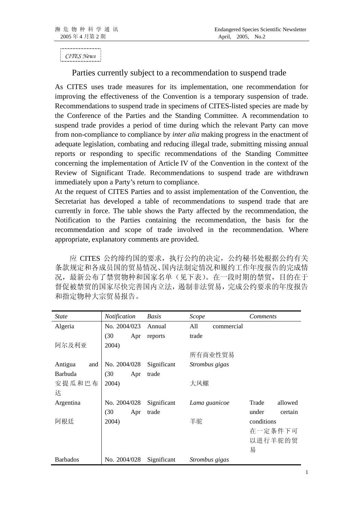*CITES News*

#### Parties currently subject to a recommendation to suspend trade

As CITES uses trade measures for its implementation, one recommendation for improving the effectiveness of the Convention is a temporary suspension of trade. Recommendations to suspend trade in specimens of CITES-listed species are made by the Conference of the Parties and the Standing Committee. A recommendation to suspend trade provides a period of time during which the relevant Party can move from non-compliance to compliance by *inter alia* making progress in the enactment of adequate legislation, combating and reducing illegal trade, submitting missing annual reports or responding to specific recommendations of the Standing Committee concerning the implementation of Article IV of the Convention in the context of the Review of Significant Trade. Recommendations to suspend trade are withdrawn immediately upon a Party's return to compliance.

At the request of CITES Parties and to assist implementation of the Convention, the Secretariat has developed a table of recommendations to suspend trade that are currently in force. The table shows the Party affected by the recommendation, the Notification to the Parties containing the recommendation, the basis for the recommendation and scope of trade involved in the recommendation. Where appropriate, explanatory comments are provided.

应 CITES 公约缔约国的要求,执行公约的决定,公约秘书处根据公约有关 条款规定和各成员国的贸易情况、国内法制定情况和履约工作年度报告的完成情 况,最新公布了禁贸物种和国家名单(见下表)。在一段时期的禁贸,目的在于 督促被禁贸的国家尽快完善国内立法,遏制非法贸易,完成公约要求的年度报告 和指定物种大宗贸易报告。

| <i>State</i>    | Notification | Basis       | Scope             | <i>Comments</i>  |  |  |
|-----------------|--------------|-------------|-------------------|------------------|--|--|
| Algeria         | No. 2004/023 | Annual      | All<br>commercial |                  |  |  |
|                 | (30)<br>Apr  | reports     | trade             |                  |  |  |
| 阿尔及利亚           | 2004)        |             |                   |                  |  |  |
|                 |              |             | 所有商业性贸易           |                  |  |  |
| Antigua<br>and  | No. 2004/028 | Significant | Strombus gigas    |                  |  |  |
| <b>Barbuda</b>  | (30)<br>Apr  | trade       |                   |                  |  |  |
| 安提瓜和巴布          | 2004)        |             | 大凤螺               |                  |  |  |
| 达               |              |             |                   |                  |  |  |
| Argentina       | No. 2004/028 | Significant | Lama guanicoe     | Trade<br>allowed |  |  |
|                 | (30)<br>Apr  | trade       |                   | under<br>certain |  |  |
| 阿根廷             | 2004)        |             | 羊驼                | conditions       |  |  |
|                 |              |             |                   | 在一定条件下可          |  |  |
|                 |              |             |                   | 以进行羊驼的贸          |  |  |
|                 |              |             |                   | 易                |  |  |
| <b>Barbados</b> | No. 2004/028 | Significant | Strombus gigas    |                  |  |  |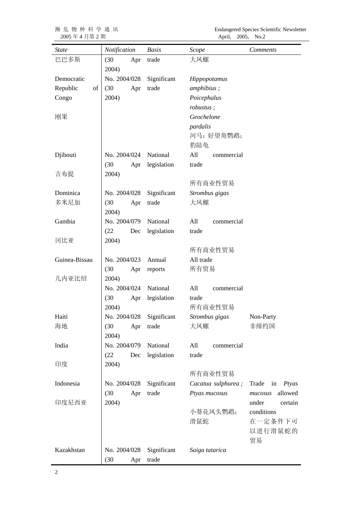2005 年 4 月第 2 期 April, 2005, No.2

濒 危 物 种 科 学 通 讯Endangered Species Scientific Newsletter

| <b>State</b>   | Notification             | <b>Basis</b>    | Scope              | <b>Comments</b>      |
|----------------|--------------------------|-----------------|--------------------|----------------------|
| 巴巴多斯           | (30)<br>Apr              | trade           | 大凤螺                |                      |
|                | 2004)                    |                 |                    |                      |
| Democratic     | No. 2004/028             | Significant     | Hippopotamus       |                      |
| Republic<br>of | (30)<br>Apr              | trade           | amphibius;         |                      |
| Congo          | 2004)                    |                 | Poicephalus        |                      |
|                |                          |                 | robustus;          |                      |
| 刚果             |                          |                 | Geochelone         |                      |
|                |                          |                 | pardalis           |                      |
|                |                          |                 | 河马;好望角鹦鹉;          |                      |
|                |                          |                 | 豹陆龟                |                      |
| Djibouti       | No. 2004/024             | National        | All<br>commercial  |                      |
|                | (30)<br>Apr              | legislation     | trade              |                      |
| 吉布提            | 2004)                    |                 |                    |                      |
|                |                          |                 | 所有商业性贸易            |                      |
| Dominica       | No. 2004/028             | Significant     | Strombus gigas     |                      |
| 多米尼加           | (30)<br>Apr              | trade           | 大凤螺                |                      |
|                | 2004)                    |                 |                    |                      |
| Gambia         | No. 2004/079             | National        | All<br>commercial  |                      |
|                | (22)<br>Dec              | legislation     | trade              |                      |
| 冈比亚            | 2004)                    |                 |                    |                      |
|                |                          |                 | 所有商业性贸易            |                      |
| Guinea-Bissau  | No. 2004/023             | Annual          | All trade          |                      |
|                | (30)<br>Apr              | reports         | 所有贸易               |                      |
| 几内亚比绍          | 2004)                    |                 |                    |                      |
|                | No. 2004/024             | National        | All<br>commercial  |                      |
|                | (30)<br>2004)            | Apr legislation | trade<br>所有商业性贸易   |                      |
| Haiti          | No. 2004/028 Significant |                 | Strombus gigas     | Non-Party            |
| 海地             | (30)<br>Apr              | trade           | 大凤螺                | 非缔约国                 |
|                | 2004)                    |                 |                    |                      |
| India          | No. 2004/079             | National        | All<br>commercial  |                      |
|                | (22)<br>Dec              | legislation     | trade              |                      |
| 印度             | 2004)                    |                 |                    |                      |
|                |                          |                 | 所有商业性贸易            |                      |
| Indonesia      | No. 2004/028             | Significant     | Cacatua sulphurea; | Trade<br>in<br>Ptyas |
|                | (30)<br>Apr              | trade           | Ptyas mucosus      | allowed<br>mucosus   |
| 印度尼西亚          | 2004)                    |                 |                    | under<br>certain     |
|                |                          |                 | 小葵花凤头鹦鹉;           | conditions           |
|                |                          |                 | 滑鼠蛇                | 在一定条件下可              |
|                |                          |                 |                    | 以进行滑鼠蛇的              |
|                |                          |                 |                    | 贸易                   |
| Kazakhstan     | No. 2004/028             | Significant     | Saiga tatarica     |                      |
|                | (30)<br>Apr              | trade           |                    |                      |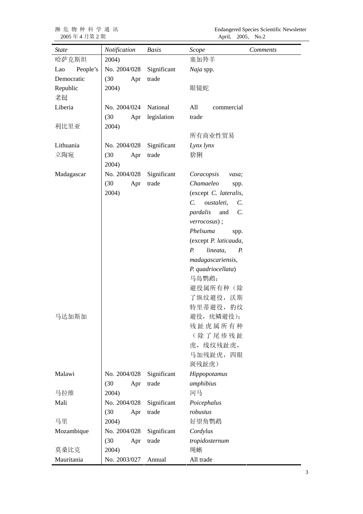2005 年 4 月第 2 期 April, 2005, No.2

濒 危 物 种 科 学 通 讯Endangered Species Scientific Newsletter

| <b>State</b>    | Notification | <b>Basis</b> | Scope                                    | Comments |
|-----------------|--------------|--------------|------------------------------------------|----------|
| 哈萨克斯坦           | 2004)        |              | 塞加羚羊                                     |          |
| People's<br>Lao | No. 2004/028 | Significant  | Naja spp.                                |          |
| Democratic      | (30)<br>Apr  | trade        |                                          |          |
| Republic        | 2004)        |              | 眼镜蛇                                      |          |
| 老挝              |              |              |                                          |          |
| Liberia         | No. 2004/024 | National     | All<br>commercial                        |          |
|                 | (30)<br>Apr  | legislation  | trade                                    |          |
| 利比里亚            | 2004)        |              |                                          |          |
|                 |              |              | 所有商业性贸易                                  |          |
| Lithuania       | No. 2004/028 | Significant  | Lynx lynx                                |          |
| 立陶宛             | (30)<br>Apr  | trade        | 猞猁                                       |          |
|                 | 2004)        |              |                                          |          |
| Madagascar      | No. 2004/028 | Significant  | Coracopsis<br>vasa;                      |          |
|                 | (30)<br>Apr  | trade        | Chamaeleo<br>spp.                        |          |
|                 | 2004)        |              | (except C. lateralis,                    |          |
|                 |              |              | $C_{\cdot}$<br>oustaleti,<br>$C_{\cdot}$ |          |
|                 |              |              | pardalis<br>and<br>$\mathcal{C}$ .       |          |
|                 |              |              | $verrocosus$ ;                           |          |
|                 |              |              | Phelsuma<br>spp.                         |          |
|                 |              |              | (except P. laticauda,                    |          |
|                 |              |              | $P_{\cdot}$<br>lineata,<br>Р.            |          |
|                 |              |              | madagascariensis,                        |          |
|                 |              |              | P. quadriocellata)                       |          |
|                 |              |              | 马岛鹦鹉;                                    |          |
|                 |              |              | 避役属所有种(除                                 |          |
|                 |              |              | 了纵纹避役, 沃斯                                |          |
|                 |              |              | 特里蒂避役, 豹纹                                |          |
| 马达加斯加           |              |              | 避役, 疣鳞避役);                               |          |
|                 |              |              | 残趾虎属所有种                                  |          |
|                 |              |              | (除了尾疹残趾                                  |          |
|                 |              |              | 虎,线纹残趾虎,                                 |          |
|                 |              |              | 马加残趾虎, 四眼                                |          |
|                 |              |              | 斑残趾虎)                                    |          |
| Malawi          | No. 2004/028 | Significant  | Hippopotamus                             |          |
|                 | (30)<br>Apr  | trade        | amphibius                                |          |
| 马拉维             | 2004)        |              | 河马                                       |          |
| Mali            | No. 2004/028 | Significant  | Poicephalus                              |          |
|                 | (30)<br>Apr  | trade        | robustus                                 |          |
| 马里              | 2004)        |              | 好望角鹦鹉                                    |          |
| Mozambique      | No. 2004/028 | Significant  | Cordylus                                 |          |
|                 | (30)<br>Apr  | trade        | tropidosternum                           |          |
| 莫桑比克            | 2004)        |              | 绳蜥                                       |          |
| Mauritania      | No. 2003/027 | Annual       | All trade                                |          |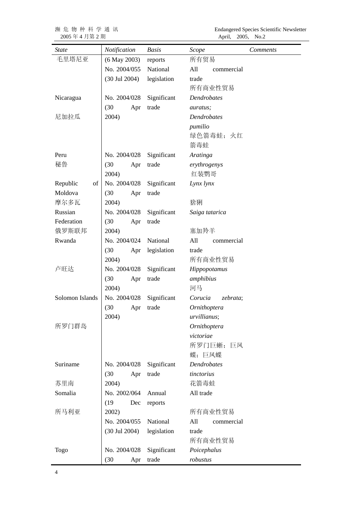2005 年 4 月第 2 期 April, 2005, No.2

濒 危 物 种 科 学 通 讯Endangered Species Scientific Newsletter

| State           | Notification             | <b>Basis</b> | Scope                     | <i>Comments</i> |  |  |  |  |
|-----------------|--------------------------|--------------|---------------------------|-----------------|--|--|--|--|
| 毛里塔尼亚           | $(6$ May 2003)           | reports      | 所有贸易                      |                 |  |  |  |  |
|                 | No. 2004/055             | National     | All<br>commercial         |                 |  |  |  |  |
|                 | $(30 \text{ Jul } 2004)$ | legislation  | trade                     |                 |  |  |  |  |
|                 |                          |              | 所有商业性贸易                   |                 |  |  |  |  |
| Nicaragua       | No. 2004/028             | Significant  | Dendrobates               |                 |  |  |  |  |
|                 | (30)<br>Apr              | trade        | auratus;                  |                 |  |  |  |  |
| 尼加拉瓜            | 2004)                    |              | <b>Dendrobates</b>        |                 |  |  |  |  |
|                 |                          |              | pumilio                   |                 |  |  |  |  |
|                 |                          |              | 绿色箭毒蛙;火红                  |                 |  |  |  |  |
|                 |                          |              | 箭毒蛙                       |                 |  |  |  |  |
| Peru            | No. 2004/028             | Significant  | Aratinga                  |                 |  |  |  |  |
| 秘鲁              | (30)<br>Apr              | trade        | erythrogenys              |                 |  |  |  |  |
|                 | 2004)                    |              | 红装鹦哥                      |                 |  |  |  |  |
| Republic<br>of  | No. 2004/028             | Significant  | Lynx lynx                 |                 |  |  |  |  |
| Moldova         | (30)<br>Apr              | trade        |                           |                 |  |  |  |  |
| 摩尔多瓦            | 2004)                    |              | 猞猁                        |                 |  |  |  |  |
| Russian         | No. 2004/028             | Significant  | Saiga tatarica            |                 |  |  |  |  |
| Federation      | (30)<br>Apr              | trade        |                           |                 |  |  |  |  |
| 俄罗斯联邦           | 2004)                    |              | 塞加羚羊                      |                 |  |  |  |  |
| Rwanda          | No. 2004/024             | National     | All<br>commercial         |                 |  |  |  |  |
|                 | (30)<br>Apr              | legislation  | trade                     |                 |  |  |  |  |
|                 | 2004)                    |              | 所有商业性贸易                   |                 |  |  |  |  |
| 卢旺达             | No. 2004/028             | Significant  | Hippopotamus              |                 |  |  |  |  |
|                 | (30)<br>Apr              | trade        | amphibius                 |                 |  |  |  |  |
|                 | 2004)                    |              | 河马                        |                 |  |  |  |  |
| Solomon Islands | No. 2004/028             | Significant  | Corucia<br>zebrata;       |                 |  |  |  |  |
|                 | (30)<br>Apr              | trade        | Ornithoptera              |                 |  |  |  |  |
|                 | 2004)                    |              | urvillianus;              |                 |  |  |  |  |
| 所罗门群岛           |                          |              | Ornithoptera<br>victoriae |                 |  |  |  |  |
|                 |                          |              |                           |                 |  |  |  |  |
|                 |                          |              | 所罗门巨蜥;巨凤<br>蝶;巨凤蝶         |                 |  |  |  |  |
| Suriname        | No. 2004/028             | Significant  | <b>Dendrobates</b>        |                 |  |  |  |  |
|                 | (30)<br>Apr              | trade        | tinctorius                |                 |  |  |  |  |
| 苏里南             | 2004)                    |              | 花箭毒蛙                      |                 |  |  |  |  |
| Somalia         | No. 2002/064             | Annual       | All trade                 |                 |  |  |  |  |
|                 | (19)<br>Dec              | reports      |                           |                 |  |  |  |  |
| 所马利亚            | 2002)                    |              | 所有商业性贸易                   |                 |  |  |  |  |
|                 | No. 2004/055             | National     | All<br>commercial         |                 |  |  |  |  |
|                 | $(30 \text{ Jul } 2004)$ | legislation  | trade                     |                 |  |  |  |  |
|                 |                          |              | 所有商业性贸易                   |                 |  |  |  |  |
| Togo            | No. 2004/028             | Significant  | Poicephalus               |                 |  |  |  |  |
|                 | (30)<br>Apr              | trade        | robustus                  |                 |  |  |  |  |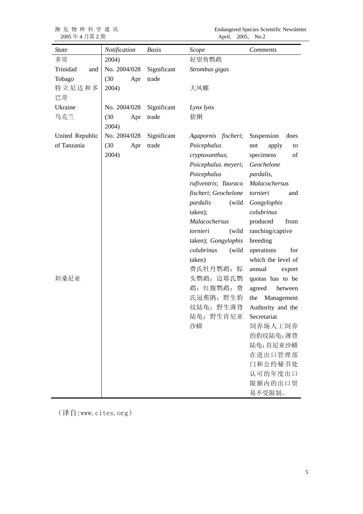濒危物种科学通讯<br>2005年4月第2期

Endangered Species Scientific Newsletter<br>April, 2005, No.2

| <i>State</i>    | Notification | <b>Basis</b> | Scope                | <i>Comments</i>    |
|-----------------|--------------|--------------|----------------------|--------------------|
| 多哥              | 2004)        |              | 好望角鹦鹉                |                    |
| Trinidad<br>and | No. 2004/028 | Significant  | Strombus gigas       |                    |
| Tobago          | (30)<br>Apr  | trade        |                      |                    |
| 特立尼达和多          | 2004)        |              | 大凤螺                  |                    |
| 巴哥              |              |              |                      |                    |
| Ukraine         | No. 2004/028 | Significant  | Lynx lynx            |                    |
| 乌克兰             | (30)<br>Apr  | trade        | 猞猁                   |                    |
|                 | 2004)        |              |                      |                    |
| United Republic | No. 2004/028 | Significant  | Agapornis fischeri;  | Suspension<br>does |
| of Tanzania     | (30)<br>Apr  | trade        | Poicephalus          | not<br>apply<br>to |
|                 | 2004)        |              | cryptoxanthus;       | specimens<br>of    |
|                 |              |              | Poicephalus meyeri;  | Geochelone         |
|                 |              |              | Poicephalus          | pardalis,          |
|                 |              |              | rufiventris; Tauraco | Malacochersus      |
|                 |              |              | fischeri; Geochelone | tornieri<br>and    |
|                 |              |              | pardalis<br>(wild    | Gongylophis        |
|                 |              |              | taken);              | colubrinus         |
|                 |              |              | Malacochersus        | produced<br>from   |
|                 |              |              | tornieri<br>(wild    | ranching/captive   |
|                 |              |              | taken); Gongylophis  | breeding           |
|                 |              |              | colubrinus<br>(wild  | operations<br>for  |
|                 |              |              | taken)               | which the level of |
|                 |              |              | 费氏牡丹鹦鹉; 棕            | annual<br>export   |
| 坦桑尼亚            |              |              | 头鹦鹉;迈耶氏鹦             | quotas has to be   |
|                 |              |              | 鹉;红腹鹦鹉;<br>费         | agreed<br>between  |
|                 |              |              | 氏冠蕉鹃; 野生豹            | Management<br>the  |
|                 |              |              | 纹陆龟; 野生薄背            | Authority and the  |
|                 |              |              | 陆龟; 野生肯尼亚            | Secretariat        |
|                 |              |              | 沙蟒                   | 饲养场人工饲养            |
|                 |              |              |                      | 的豹纹陆龟;薄背           |
|                 |              |              |                      | 陆龟;肯尼亚沙蟒           |
|                 |              |              |                      | 在进出口管理部            |
|                 |              |              |                      | 门和公约秘书处            |
|                 |              |              |                      | 认可的年度出口            |
|                 |              |              |                      | 限额内的出口贸            |
|                 |              |              |                      | 易不受限制。             |

(译自:www.cites.org)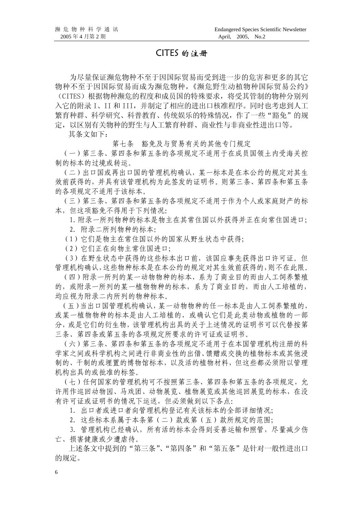#### CITES 的注册

为尽量保证濒危物种不至于因国际贸易而受到进一步的危害和更多的其它 物种不至于因国际贸易而成为濒危物种,《濒危野生动植物种国际贸易公约》 (CITES)根据物种濒危的程度和成员国的特殊要求,将受其管制的物种分别列 入它的附录 I、II 和 III,并制定了相应的进出口核准程序。同时也考虑到人工 繁育种群、科学研究、科普教育、传统娱乐的特殊情况,作了一些"豁免"的规 定,以区别有关物种的野生与人工繁育种群、商业性与非商业性进出口等。

其条文如下:

第七条 豁免及与贸易有关的其他专门规定

 (一)第三条、第四条和第五条的各项规定不适用于在成员国领土内受海关控 制的标本的过境或转运。

 (二)出口国或再出口国的管理机构确认,某一标本是在本公约的规定对其生 效前获得的,并具有该管理机构为此签发的证明书。则第三条、第四条和第五条 的各项规定不适用于该标本。

 (三)第三条、第四条和第五条的各项规定不适用于作为个人或家庭财产的标 本,但这项豁免不得用于下列情况:

1.附录一所列物种的标本是物主在其常住国以外获得并正在向常住国进口;

- 2.附录二所列物种的标本:
- (1)它们是物主在常住国以外的国家从野生状态中获得;
- (2)它们正在向物主常住国进口;

 (3)在野生状态中获得的这些标本出口前,该国应事先获得出口许可证。但 管理机构确认,这些物种标本是在本公约的规定对其生效前获得的,则不在此限。

 (四)附录一所列的某一动物物种的标本,系为了商业目的而由人工饲养繁殖 的,或附录一所列的某一植物物种的标本,系为了商业目的,而由人工培植的, 均应视为附录二内所列的物种标本。

 (五)当出口国管理机构确认,某一动物物种的任一标本是由人工饲养繁殖的, 或某一植物物种的标本是由人工培植的,或确认它们是此类动物或植物的一部 分,或是它们的衍生物,该管理机构出具的关于上述情况的证明书可以代替按第 三条、第四条或第五条的各项规定所要求的许可证或证明书。

 (六)第三条、第四条和第五条的各项规定不适用于在本国管理机构注册的科 学家之间或科学机构之间进行非商业性的出借、馈赠或交换的植物标本或其他浸 制的、干制的或埋置的博物馆标本,以及活的植物材料,但这些都必须附以管理 机构出具的或批准的标签。

 (七)任何国家的管理机构可不按照第三条、第四条和第五条的各项规定,允 许用作巡回动物园、马戏团、动物展览、植物展览或其他巡回展览的标本,在没 有许可证或证明书的情况下运送,但必须做到以下各点:

1.出口者或进口者向管理机构登记有关该标本的全部详细情况;

2.这些标本系属于本条第(二)款或第(五)款所规定的范围;

 3.管理机构已经确认,所有活的标本会得到妥善运输和照管,尽量减少伤 亡、损害健康或少遭虐待。

上述条文中提到的"第三条"、"第四条"和"第五条"是针对一般性进出口 的规定。

6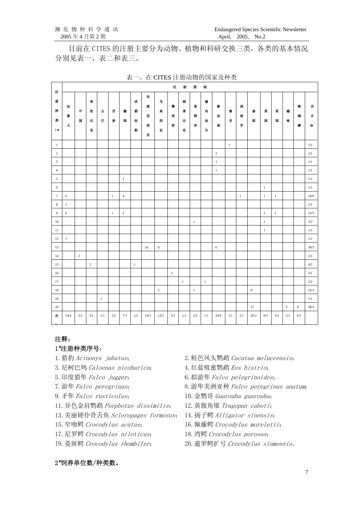目前在 CITES 的注册主要分为动物、植物和科研交换三类,各类的基本情况 分别见表一、表二和表三。

|                            |              |                |                  |              |              |                     |                  |                       |                                | 注                                 | 册                     | $\blacksquare$ | 别                |              |                 |              |                     |                     |              |        |             |                |
|----------------------------|--------------|----------------|------------------|--------------|--------------|---------------------|------------------|-----------------------|--------------------------------|-----------------------------------|-----------------------|----------------|------------------|--------------|-----------------|--------------|---------------------|---------------------|--------------|--------|-------------|----------------|
| 住<br>册<br>种<br>类<br>$1\pi$ | 加<br>*<br>大  | 中<br>国         | 哥<br>伦<br>比<br>亚 | 古<br>巴       | 丹<br>麦       | 德<br>$\blacksquare$ | 狭<br>都<br>拉<br>斯 | 叩<br>庋<br>尼<br>西<br>亚 | $\frac{\pi}{2}$<br>未<br>西<br>Ψ | 墨<br>西<br>$\overline{\mathbf{H}}$ | 纳<br>$\ast$<br>比<br>Τ | 非<br>律<br>宾    | 寚<br>内<br>加<br>尔 | 新<br>加<br>坡  | 甫<br>$\ddagger$ | 西<br>班<br>牙  | 豪<br>$\blacksquare$ | 芙<br>$\blacksquare$ | 美<br>国       | 越<br>南 | 東<br>埔<br>寨 | 合<br>计<br>$3k$ |
| $\mathbf{1}$               |              |                |                  |              |              |                     |                  |                       |                                |                                   |                       |                |                  |              | $\mathbf{1}$    |              |                     |                     |              |        |             | 1/1            |
| $\overline{c}$             |              |                |                  |              |              |                     |                  |                       |                                |                                   |                       |                |                  | $\sqrt{2}$   |                 |              |                     |                     |              |        |             | 2/1            |
| 3                          |              |                |                  |              |              |                     |                  |                       |                                |                                   |                       |                |                  | $\mathbf{1}$ |                 |              |                     |                     |              |        |             | 1/1            |
| $\overline{4}$             |              |                |                  |              |              |                     |                  |                       |                                |                                   |                       |                |                  | $\mathbf{1}$ |                 |              |                     |                     |              |        |             | 1/1            |
| $\mathfrak{S}$             |              |                |                  |              |              | $1\,$               |                  |                       |                                |                                   |                       |                |                  |              |                 |              |                     |                     |              |        |             | $1/1\,$        |
| 6                          |              |                |                  |              |              |                     |                  |                       |                                |                                   |                       |                |                  |              |                 |              |                     | $\mathbf{1}$        |              |        |             | 1/1            |
| $\tau$                     | 6            |                |                  |              | $\mathbf{1}$ | $\overline{4}$      |                  |                       |                                |                                   |                       |                |                  |              |                 | $\mathbf{1}$ |                     | $\mathbf{1}$        | $\mathbf{1}$ |        |             | 14/6           |
| $\bf 8$                    | $\mathbf{1}$ |                |                  |              |              |                     |                  |                       |                                |                                   |                       |                |                  |              |                 |              |                     |                     |              |        |             | 1/1            |
| 9                          | 6            |                |                  |              | $1\,$        | $\sqrt{2}$          |                  |                       |                                |                                   |                       |                |                  |              |                 |              |                     | $\sqrt{2}$          | $\sqrt{2}$   |        |             | 13/5           |
| 10                         |              |                |                  |              |              |                     |                  |                       |                                |                                   |                       | $\mathbf{1}$   |                  |              |                 |              |                     | $\mathbf{1}$        |              |        |             | 2/2            |
| 11                         |              |                |                  |              |              |                     |                  |                       |                                |                                   |                       |                |                  |              |                 |              |                     | $\mathbf{1}$        |              |        |             | 1/1            |
| 12                         | $\mathbf{1}$ |                |                  |              |              |                     |                  |                       |                                |                                   |                       |                |                  |              |                 |              |                     |                     |              |        |             | 1/1            |
| 13                         |              |                |                  |              |              |                     |                  | 16                    | 8                              |                                   |                       |                |                  | 6            |                 |              |                     |                     |              |        |             | 30/3           |
| 14                         |              | $\overline{c}$ |                  |              |              |                     |                  |                       |                                |                                   |                       |                |                  |              |                 |              |                     |                     |              |        |             | 2/1            |
| 15                         |              |                | $\mathfrak z$    |              |              |                     | $1\,$            |                       |                                |                                   |                       |                |                  |              |                 |              |                     |                     |              |        |             | 4/2            |
| 16                         |              |                |                  |              |              |                     |                  |                       |                                | $\mathbf{3}$                      |                       |                |                  |              |                 |              |                     |                     |              |        |             | 3/1            |
| 17                         |              |                |                  |              |              |                     |                  |                       |                                |                                   | $1\,$                 |                | $\mathbf{1}$     |              |                 |              |                     |                     |              |        |             | $2/2\,$        |
| 18                         |              |                |                  |              |              |                     |                  |                       | 5                              |                                   |                       | $\mathbf{1}$   |                  |              |                 |              | $\boldsymbol{9}$    |                     |              |        |             | 15/3           |
| 19                         |              |                |                  | $\mathbf{1}$ |              |                     |                  |                       |                                |                                   |                       |                |                  |              |                 |              |                     |                     |              |        |             | 1/1            |
| 20                         |              |                |                  |              |              |                     |                  |                       |                                |                                   |                       |                |                  |              |                 |              | 17                  |                     |              | 5      | 6           | 28/3           |
| 合                          | 14/4         | 2/1            | 3/1              | 1/1          | 2/2          | 7/3                 | 1/1              | 16/1                  | 13/2                           | 3/1                               | 1/1                   | 2/2            | 1/1              | 10/4         | 1/1             | 1/1          | 26/2                | 6/5                 | 3/2          | 5/1    | 6/1         |                |

表一、在 CITES 注册动物的国家及种类

#### 注释:

计

#### 1 注册种类序号:

- 
- 3.尼柯巴鸠 Caloenas nicobarica; 4.红蓝吸蜜鹦鹉 Eos histrio;
- 
- 
- 
- 11. 异色金肩鹦鹉 Psephotus dissimilis; 12. 黄腹角雉 Tragopan caboti;
- 13.美丽硬仆骨舌鱼 Scleropages formosus; 14.扬子鳄 Alligator sinensis;
- 
- 17. 尼罗鳄 Crocodylus niloticus; 18. 湾鳄 Crocodylus porosus;
- 
- 1.猎豹 Acinonyx jubatus; 2.鲑色风头鹦鹉 Cacatua moluccensis;
	-
- 5. 印度猎隼 Falco jugger; 6. 拟游隼 Falco pelegrinoides;
- 7.游隼 Falco peregrinus; 8.游隼美洲亚种 Falco peregrinus anatum;
- 9.矛隼 Falco rusticolus; 10.金鹦哥 Guarouba guarouba;
	-
	-
- 15. 窄吻鳄 Crocodylus acutus; 16. 佩藤鳄 Crocodylus moreletii;
	-
- 19.菱斑鳄 Crocodylus rhombifer; 20.暹罗鳄扩号 Crocodylus siamensis。

#### 2\*饲养单位数/种类数。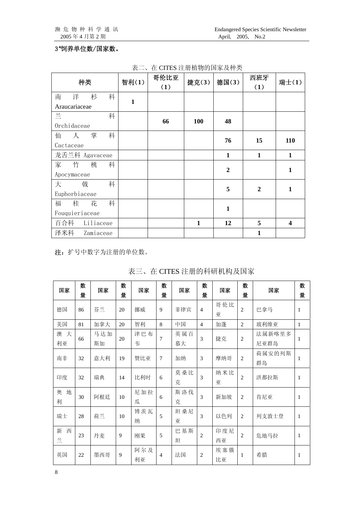#### 3\*饲养单位数/国家数。

| 种类                       | 智利(1)        | 哥伦比亚<br>(1) | 捷克(3)      | 德国(3)            | 西班牙<br>(1)     | 瑞士(1)        |
|--------------------------|--------------|-------------|------------|------------------|----------------|--------------|
| 南<br>洋<br>杉<br>科         | $\mathbf{1}$ |             |            |                  |                |              |
| Araucariaceae            |              |             |            |                  |                |              |
| 兰<br>科                   |              | 66          | <b>100</b> | 48               |                |              |
| Orchidaceae              |              |             |            |                  |                |              |
| 掌<br>科<br>仙<br>$\lambda$ |              |             |            |                  | 15             | 110          |
| Cactaceae                |              |             |            | 76               |                |              |
| 龙舌兰科 Agavaceae           |              |             |            | $\mathbf{1}$     | $\mathbf{1}$   | $\mathbf{1}$ |
| 家<br>竹<br>桃<br>科         |              |             |            |                  |                |              |
| Apocymaceae              |              |             |            | $\boldsymbol{2}$ |                | $\mathbf{1}$ |
| 大<br>戟<br>科              |              |             |            | 5                | $\overline{2}$ | $\mathbf{1}$ |
| Euphorbiaceae            |              |             |            |                  |                |              |
| 福<br>桂<br>花<br>科         |              |             |            |                  |                |              |
| Fouquieriaceae           |              |             |            | $\mathbf{1}$     |                |              |
| 百合科<br>Liliaceae         |              |             | 1          | 12               | 5              | 4            |
| 泽米科<br>Zamiaceae         |              |             |            |                  | 1              |              |

表二、在 CITES 注册植物的国家及种类

注:扩号中数字为注册的单位数。

| 国家          | 数<br>量 | 国家        | 数<br>量      | 国家        | 数<br>量         | 国家        | 数<br>量         | 国家        | 数<br>量         | 国家             | 数<br>量       |
|-------------|--------|-----------|-------------|-----------|----------------|-----------|----------------|-----------|----------------|----------------|--------------|
| 德国          | 86     | 芬兰        | 20          | 挪威        | 9              | 菲律宾       | $\overline{4}$ | 哥伦比<br>亚  | $\overline{c}$ | 巴拿马            | $\mathbf{1}$ |
| 美国          | 81     | 加拿大       | 20          | 智利        | 8              | 中国        | $\overline{4}$ | 加蓬        | $\overline{2}$ | 玻利维亚           | $\mathbf{1}$ |
| 澳 大<br>利亚   | 66     | 马达加<br>斯加 | 20          | 津巴布<br>韦  | 7              | 英属百<br>慕大 | 3              | 捷克        | $\overline{2}$ | 法属新喀里多<br>尼亚群岛 | 1            |
| 南非          | 32     | 意大利       | 19          | 赞比亚       | 7              | 加纳        | 3              | 摩纳哥       | $\overline{2}$ | 荷属安的列斯<br>群岛   | 1            |
| 印度          | 32     | 瑞典        | 14          | 比利时       | 6              | 莫桑比<br>克  | 3              | 纳米比<br>亚  | $\overline{c}$ | 洪都拉斯           | $\mathbf{1}$ |
| 奧<br>地<br>利 | 30     | 阿根廷       | 10          | 尼加拉<br>瓜  | 6              | 斯洛伐<br>克  | 3              | 新加坡       | 2              | 肯尼亚            | $\mathbf{1}$ |
| 瑞士          | 28     | 荷兰        | 10          | 博茨瓦<br>纳  | 5              | 坦桑尼<br>亚  | 3              | 以色列       | 2              | 列支敦士登          | $\mathbf{1}$ |
| 新<br>西<br>兰 | 23     | 丹麦        | 9           | 刚果        | 5              | 巴基斯<br>坦  | $\mathfrak{2}$ | 印度尼<br>西亚 | $\overline{c}$ | 危地马拉           | $\mathbf{1}$ |
| 英国          | 22     | 墨西哥       | $\mathbf Q$ | 阿尔及<br>利亚 | $\overline{4}$ | 法国        | $\overline{c}$ | 埃塞俄<br>比亚 | 1              | 希腊             | $\mathbf{1}$ |

表三、在 CITES 注册的科研机构及国家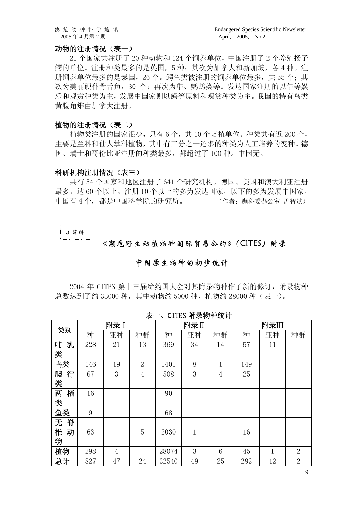#### 动物的注册情况(表一)

 21 个国家共注册了 20 种动物和 124 个饲养单位,中国注册了 2 个养殖扬子 鳄的单位。注册种类最多的是英国,5 种;其次为加拿大和新加坡,各 4 种。注 册饲养单位最多的是泰国,26个。鳄鱼类被注册的饲养单位最多,共55个;其 次为美丽硬仆骨舌鱼,30个;再次为隼、鹦鹉类等。发达国家注册的以隼等娱 乐和观赏种类为主,发展中国家则以鳄等原料和观赏种类为主。我国的特有鸟类 黄腹角雉由加拿大注册。

#### 植物的注册情况(表二)

植物类注册的国家很少,只有 6 个,共 10 个培植单位。种类共有近 200 个, 主要是兰科和仙人掌科植物,其中有三分之一还多的种类为人工培养的变种。德 国、瑞士和哥伦比亚注册的种类最多,都超过了 100 种。中国无。

#### 科研机构注册情况(表三)

共有 54 个国家和地区注册了 641 个研究机构。德国、美国和澳大利亚注册 最多,达 60 个以上。注册 10 个以上的多为发达国家,以下的多为发展中国家。 中国有 4 个, 都是中国科学院的研究所。 (作者: 濒科委办公室 孟智斌)

#### 小资料

#### 《濒危野生动植物种国际贸易公约》(CITES)附录

#### 中国原生物种的初步统计

2004 年 CITES 第十三届缔约国大会对其附录物种作了新的修订,附录物种 总数达到了约 33000 种,其中动物约 5000 种,植物约 28000 种(表一)。

| 类别     |     | 附录 I           |                |       | 附录II |                |     | 附录Ⅲ |                |
|--------|-----|----------------|----------------|-------|------|----------------|-----|-----|----------------|
|        | 种   | 亚种             | 种群             | 种     | 亚种   | 种群             | 种   | 亚种  | 种群             |
| 哺<br>乳 | 228 | 21             | 13             | 369   | 34   | 14             | 57  | 11  |                |
| 类      |     |                |                |       |      |                |     |     |                |
| 鸟类     | 146 | 19             | $\mathbf{2}$   | 1401  | 8    | 1              | 149 |     |                |
| 行<br>爬 | 67  | 3              | $\overline{4}$ | 508   | 3    | $\overline{4}$ | 25  |     |                |
| 类      |     |                |                |       |      |                |     |     |                |
| 两<br>栖 | 16  |                |                | 90    |      |                |     |     |                |
| 类      |     |                |                |       |      |                |     |     |                |
| 鱼类     | 9   |                |                | 68    |      |                |     |     |                |
| 脊<br>无 |     |                |                |       |      |                |     |     |                |
| 椎<br>动 | 63  |                | 5              | 2030  | 1    |                | 16  |     |                |
| 物      |     |                |                |       |      |                |     |     |                |
| 植物     | 298 | $\overline{4}$ |                | 28074 | 3    | 6              | 45  | 1   | $\overline{2}$ |
| 总计     | 827 | 47             | 24             | 32540 | 49   | 25             | 292 | 12  | $\overline{2}$ |

表一、CITES 附录物种统计

9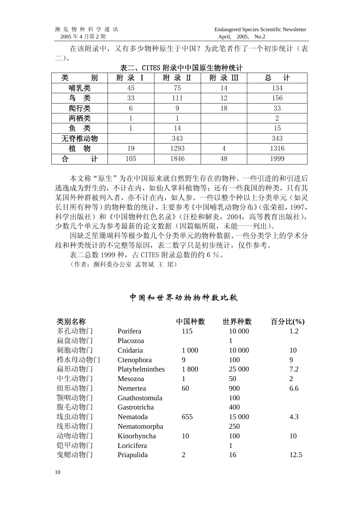在该附录中,又有多少物种原生于中国?为此笔者作了一个初步统计(表 二)。

| 类<br>别 | 录<br>附<br>$\mathbf I$ | 附<br>录<br>$\mathbf I$ | 附<br>录Ⅲ | 总<br>计         |
|--------|-----------------------|-----------------------|---------|----------------|
| 哺乳类    | 45                    | 75                    | 14      | 134            |
| 类<br>鸟 | 33                    | 111                   | 12      | 156            |
| 爬行类    | 6                     | 9                     | 18      | 33             |
| 两栖类    |                       |                       |         | $\overline{2}$ |
| 类<br>鱼 |                       | 14                    |         | 15             |
| 无脊椎动物  |                       | 343                   |         | 343            |
| 植<br>物 | 19                    | 1293                  | 4       | 1316           |
| 合      | 105                   | 1846                  | 48      | 1999           |

表二、CITES 附录中中国原生物种统计

本文称"原生"为在中国原来就自然野生存在的物种。一些引进的和引进后 逃逸成为野生的,不计在内,如仙人掌科植物等;还有一些我国的种类,只有其 某国外种群被列入者,亦不计在内,如人参。一些以整个种以上分类单元(如灵 长目所有种等)的物种数的统计,主要参考《中国哺乳动物分布》(张荣祖,1997, 科学出版社)和《中国物种红色名录》(汪松和解炎,2004,高等教育出版社), 少数几个单元为参考最新的论文数据(因篇幅所限,未能一一列出)。

因缺乏笙珊瑚科等极少数几个分类单元的物种数据、一些分类学上的学术分 歧和种类统计的不完整等原因,表二数字只是初步统计,仅作参考。

表二总数 1999 种, 占 CITES 附录总数的约 6 %。

(作者:濒科委办公室 孟智斌 王 珺)

#### 中国和世界动物物种数比较

| 类别名称   |                 | 中国种数           | 世界种数         | 百分比(%)         |
|--------|-----------------|----------------|--------------|----------------|
| 多孔动物门  | Porifera        | 115            | 10 000       | 1.2            |
| 扁盘动物门  | Placozoa        |                | 1            |                |
| 刺胞动物门  | Cnidaria        | 1 000          | 10 000       | 10             |
| 栉水母动物门 | Ctenophora      | 9              | 100          | 9              |
| 扁形动物门  | Platyhelminthes | 1800           | 25 000       | 7.2            |
| 中生动物门  | Mesozoa         | 1              | 50           | $\overline{2}$ |
| 纽形动物门  | Nemertea        | 60             | 900          | 6.6            |
| 颚咽动物门  | Gnathostomula   |                | 100          |                |
| 腹毛动物门  | Gastrotricha    |                | 400          |                |
| 线虫动物门  | Nematoda        | 655            | 15 000       | 4.3            |
| 线形动物门  | Nematomorpha    |                | 250          |                |
| 动吻动物门  | Kinorhyncha     | 10             | 100          | 10             |
| 铠甲动物门  | Loricifera      |                | $\mathbf{1}$ |                |
| 曳鳃动物门  | Priapulida      | $\overline{c}$ | 16           | 12.5           |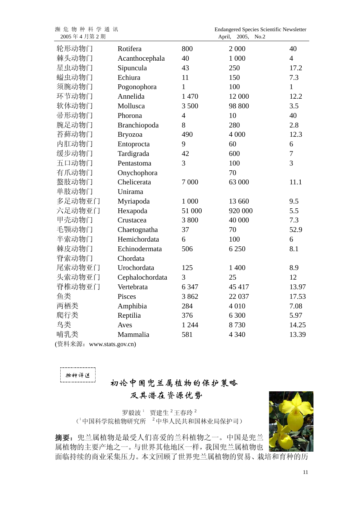| 濒危物种科学通讯<br>2005年4月第2期   |                 |                | Endangered Species Scientific Newsletter<br>2005,<br>No.2<br>April, |                |
|--------------------------|-----------------|----------------|---------------------------------------------------------------------|----------------|
| 轮形动物门                    | Rotifera        | 800            | 2 000                                                               | 40             |
| 棘头动物门                    | Acanthocephala  | 40             | 1 000                                                               | $\overline{4}$ |
| 星虫动物门                    | Sipuncula       | 43             | 250                                                                 | 17.2           |
| 螠虫动物门                    | Echiura         | 11             | 150                                                                 | 7.3            |
| 须腕动物门                    | Pogonophora     | $\mathbf{1}$   | 100                                                                 | $\mathbf{1}$   |
| 环节动物门                    | Annelida        | 1 470          | 12 000                                                              | 12.2           |
| 软体动物门                    | Mollusca        | 3 500          | 98 800                                                              | 3.5            |
| 帚形动物门                    | Phorona         | $\overline{4}$ | 10                                                                  | 40             |
| 腕足动物门                    | Branchiopoda    | 8              | 280                                                                 | 2.8            |
| 苔藓动物门                    | <b>Bryozoa</b>  | 490            | 4 000                                                               | 12.3           |
| 内肛动物门                    | Entoprocta      | 9              | 60                                                                  | 6              |
| 缓步动物门                    | Tardigrada      | 42             | 600                                                                 | $\overline{7}$ |
| 五口动物门                    | Pentastoma      | 3              | 100                                                                 | $\overline{3}$ |
| 有爪动物门                    | Onychophora     |                | 70                                                                  |                |
| 螯肢动物门                    | Chelicerata     | 7 000          | 63 000                                                              | 11.1           |
| 单肢动物门                    | Unirama         |                |                                                                     |                |
| 多足动物亚门                   | Myriapoda       | 1 000          | 13 660                                                              | 9.5            |
| 六足动物亚门                   | Hexapoda        | 51 000         | 920 000                                                             | 5.5            |
| 甲壳动物门                    | Crustacea       | 3 800          | 40 000                                                              | 7.3            |
| 毛颚动物门                    | Chaetognatha    | 37             | 70                                                                  | 52.9           |
| 半索动物门                    | Hemichordata    | 6              | 100                                                                 | 6              |
| 棘皮动物门                    | Echinodermata   | 506            | 6 2 5 0                                                             | 8.1            |
| 脊索动物门                    | Chordata        |                |                                                                     |                |
| 尾索动物亚门                   | Urochordata     | 125            | 1 400                                                               | 8.9            |
| 头索动物亚门                   | Cephalochordata | 3              | 25                                                                  | 12             |
| 脊椎动物亚门                   | Vertebrata      | 6 3 4 7        | 45 417                                                              | 13.97          |
| 鱼类                       | Pisces          | 3862           | 22 037                                                              | 17.53          |
| 两栖类                      | Amphibia        | 284            | 4 0 1 0                                                             | 7.08           |
| 爬行类                      | Reptilia        | 376            | 6 300                                                               | 5.97           |
| 鸟类                       | Aves            | 1 2 4 4        | 8730                                                                | 14.25          |
| 哺乳类                      | Mammalia        | 581            | 4 3 4 0                                                             | 13.39          |
| (资料来源: www.stats.gov.cn) |                 |                |                                                                     |                |

物种评述

### 初论中国兜兰属植物的保护策略 及其潜在资源优势

罗毅波<sup>1</sup> 贾建生<sup>2</sup>王春玲<sup>2</sup> (1中国科学院植物研究所 2中华人民共和国林业局保护司)



摘要:兜兰属植物是最受人们喜爱的兰科植物之一。中国是兜兰 属植物的主要产地之一。与世界其他地区一样,我国兜兰属植物也 面临持续的商业采集压力。本文回顾了世界兜兰属植物的贸易、栽培和育种的历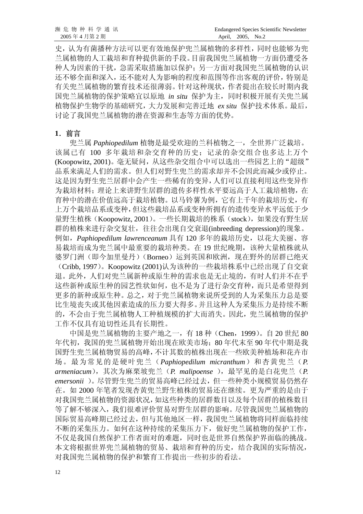史,认为有菌播种方法可以更有效地保护兜兰属植物的多样性,同时也能够为兜 兰属植物的人工栽培和育种提供新的手段。目前我国兜兰属植物一方面仍遭受各 种人为因素的干扰,急需采取措施加以保护;另一方面对我国兜兰属植物的认识 还不够全面和深入,还不能对人为影响的程度和范围等作出客观的评价,特别是 有关兜兰属植物的繁育技术还很薄弱。针对这种现状,作者提出在较长时期内我 国兜兰属植物的保护策略宜以原地 *in situ* 保护为主,同时积极开展有关兜兰属 植物保护生物学的基础研究,大力发展和完善迁地 *ex situ* 保护技术体系。最后, 讨论了我国兜兰属植物的潜在资源和生态等方面的优势。

#### **1**.前言

兜兰属 *Paphiopedilum* 植物是最受欢迎的兰科植物之一,全世界广泛栽培。 该属已有 100 多年栽培和杂交育种的历史;记录的杂交组合也多达上万个 (Koopowitz, 2001)。毫无疑问,从这些杂交组合中可以选出一些园艺上的"超级" 品系来满足人们的需求。但人们对野生兜兰的需求却并不会因此而减少或停止。 这是因为野生兜兰居群中会产生一些稀有的变异,人们可以直接利用这些变异作 为栽培材料;理论上来讲野生居群的遗传多样性水平要远高于人工栽培植物,在 育种中的潜在价值远高于栽培植物。以马铃薯为例,它有上千年的栽培历史,有 上万个栽培品系或变种,但这些栽培品系或变种所拥有的遗传变异水平远低于少 量野生植株(Koopowitz, 2001)。一些长期栽培的株系(stock),如果没有野生居 群的植株来进行杂交复壮,往往会出现自交衰退(inbreeding depression)的现象。 例如,*Paphiopedilum lawrenceanum* 具有 120 多年的栽培历史,以花大美丽、容 易栽培而成为兜兰属中最重要的栽培种类。在 19 世纪晚期,该种大量植株就从 婆罗门洲(即今加里曼丹)(Borneo)运到英国和欧洲,现在野外的居群已绝灭 (Cribb, 1997)。Koopowitz (2001)认为该种的一些栽培株系中已经出现了自交衰 退。此外,人们对兜兰属新种或原生种的需求也是无止境的,有时人们并不在乎 这些新种或原生种的园艺性状如何,也不是为了进行杂交育种,而只是希望得到 更多的新种或原生种。总之,对于兜兰属植物来说所受到的人为采集压力总是要 比生境丧失或其他因素造成的压力要大得多。并且这种人为采集压力是持续不断 的,不会由于兜兰属植物人工种植规模的扩大而消失。因此,兜兰属植物的保护 工作不仅具有迫切性还具有长期性。

中国是兜兰属植物的主要产地之一,有 18 种 (Chen, 1999)。自 20 世纪 80 年代初,我国的兜兰属植物开始出现在欧美市场;80年代末至90年代中期是我 国野生兜兰属植物贸易的高峰,不计其数的植株出现在一些欧美种植场和花卉市 场。最为常见的是硬叶兜兰(*Paphiopedilum micranthum*)和杏黄兜兰(*P. armeniacum*),其次为麻栗坡兜兰(*P. malipoense* ),最罕见的是白花兜兰(*P. emersonii* )。尽管野生兜兰的贸易高峰已经过去,但一些种类小规模贸易仍然存 在。如 2000 年笔者发现杏黄兜兰野生植株的贸易还在继续。更为严重的是由于 对我国兜兰属植物的资源状况,如这些种类的居群数目以及每个居群的植株数目 等了解不够深入,我们很难评价贸易对野生居群的影响。尽管我国兜兰属植物的 国际贸易高峰期已经过去,但与其他地区一样,我国兜兰属植物将同样面临持续 不断的采集压力。如何在这种持续的采集压力下,做好兜兰属植物的保护工作, 不仅是我国自然保护工作者面对的难题,同时也是世界自然保护界面临的挑战。 本文将根据世界兜兰属植物的贸易、栽培和育种的历史,结合我国的实际情况, 对我国兜兰属植物的保护和繁育工作提出一些初步的看法。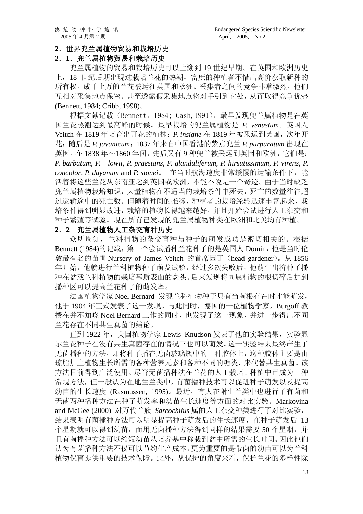#### **2**.世界兜兰属植物贸易和栽培历史

#### **2**.**1**.兜兰属植物贸易和栽培历史

 兜兰属植物的贸易和栽培历史可以上溯到 19 世纪早期。在英国和欧洲历史 上,18 世纪后期出现过栽培兰花的热潮,富庶的种植者不惜出高价获取新种的 所有权。成千上万的兰花被运往英国和欧洲。采集者之间的竞争非常激烈,他们 互相对采集地点保密。甚至透露假采集地点将对手引到它处,从而取得竞争优势 (Bennett, 1984; Cribb, 1998)。

根据文献记载(Bennett,1984; Cash,1991),最早发现兜兰属植物是在英 国兰花热潮达到最高峰的时候。最早栽培的兜兰属植物是 *P. venustum*。英国人 Veitch 在 1819 年培育出开花的植株;*P. insigne* 在 1819 年被采运到英国,次年开 花;随后是 *P. javanicum*;1837 年来自中国香港的紫点兜兰 *P. purpuratum* 出现在 英国。在 1838 年~1860 年间,先后又有 9 种兜兰被采运到英国和欧洲,它们是: *P. barbatum*, *P. lowii*, *P. praestans*, *P. glanduliferum*, *P. hirsutissimum*, *P. virens*, *P. concolor*, *P. dayanum* and *P. stonei*。 在当时航海速度非常缓慢的运输条件下,能 活着将这些兰花从东南亚运到英国或欧洲,不能不说是一个奇迹。由于当时缺乏 兜兰属植物栽培知识,大量植物在不适当的栽培条件中死去,死亡的数量往往超 过运输途中的死亡数。但随着时间的推移,种植者的栽培经验迅速丰富起来,栽 培条件得到明显改进,栽培的植物长得越来越好,并且开始尝试进行人工杂交和 种子繁殖等试验。现在所有已发现的兜兰属植物种类在欧洲和北美均有种植。

#### **2**.**2** 兜兰属植物人工杂交育种历史

众所周知,兰科植物的杂交育种与种子的萌发成功是密切相关的。根据 Bennett (1984)的记载, 第一个尝试播种兰花种子的是英国人 Domin, 他是当时伦 敦最有名的苗圃 Nursery of James Veitch 的首席园丁(head gardener)。从 1856 年开始,他就进行兰科植物种子萌发试验,经过多次失败后,他萌生出将种子播 种在盆载兰科植物的栽培基质表面的念头。后来发现将同属植物的根切碎后加到 播种区可以提高兰花种子的萌发率。

法国植物学家 Noel Bernard 发现兰科植物种子只有当菌根存在时才能萌发, 他于 1904 年正式发表了这一发现。与此同时,德国的一位植物学家,Burgoff 教 授在并不知晓 Noel Bernard 工作的同时,也发现了这一现象,并进一步得出不同 兰花存在不同共生真菌的结论。

直到 1922年, 美国植物学家 Lewis Knudson 发表了他的实验结果, 实验显 示兰花种子在没有共生真菌存在的情况下也可以萌发。这一实验结果最终产生了 无菌播种的方法,即将种子播在无菌玻璃瓶中的一种胶体上,这种胶体主要是由 琼脂加上植物生长所需的各种营养元素和各种不同的糖类,来代替共生真菌。该 方法目前得到广泛使用。尽管无菌播种法在兰花的人工栽培、种植中已成为一种 常规方法,但一般认为在地生兰类中,有菌播种技术可以促进种子萌发以及提高 幼苗的生长速度 (Rasmussen, 1995)。最近,有人在附生兰类中也进行了有菌和 无菌两种播种方法在种子萌发率和幼苗生长速度等方面的对比实验。Markovina and McGee (2000) 对万代兰族 *Sarcochilus* 属的人工杂交种类进行了对比实验, 结果表明有菌播种方法可以明显提高种子萌发后的生长速度,在种子萌发后 13 个星期就可以得到幼苗,而用无菌播种方法得到同样的结果需要 50 个星期,并 且有菌播种方法可以缩短幼苗从培养基中移栽到盆中所需的生长时间。因此他们 认为有菌播种方法不仅可以节约生产成本,更为重要的是带菌的幼苗可以为兰科 植物保育提供重要的技术保障。此外,从保护的角度来看,保护兰花的多样性除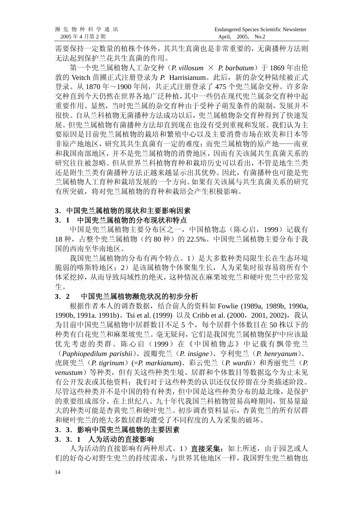需要保持一定数量的植株个体外,其共生真菌也是非常重要的,无菌播种方法则 无法起到保护兰花共生真菌的作用。

第一个兜兰属植物人工杂交种(*P. villosum* × *P. barbatum*)于 1869 年由伦 敦的 Veitch 苗圃正式注册登录为 *P.* Harrisianum。此后,新的杂交种陆续被正式 登录。从 1870 年~1900 年间,共正式注册登录了 475 个兜兰属杂交种。许多杂 交种直到今天仍然在世界各地广泛种植,其中一些仍在现代兜兰属杂交育种中起 重要作用。显然,当时兜兰属的杂交育种由于受种子萌发条件的限制,发展并不 很快。自从兰科植物无菌播种方法成功以后,兜兰属植物杂交育种得到了快速发 展。但兜兰属植物有菌播种方法却直到现在也没有受到重视和发展。我们认为主 要原因是目前兜兰属植物的栽培和繁殖中心以及主要消费市场在欧美和日本等 非原产地地区,研究其共生真菌有一定的难度;而兜兰属植物的原产地——南亚 和我国南部地区,并不是兜兰属植物的消费地区,因而有关该属共生真菌关系的 研究往往被忽略。但从世界兰科植物育种和栽培历史可以看出,不管是地生兰类 还是附生兰类有菌播种方法正越来越显示出其优势。因此,有菌播种也可能是兜 兰属植物人工育种和栽培发展的一个方向。如果有关该属与共生真菌关系的研究 有所突破,将对兜兰属植物的育种和栽培会产生积极影响。

#### **3**.中国兜兰属植物的现状和主要影响因素

#### **3**.**1** 中国兜兰属植物的分布现状和特点

中国是兜兰属植物主要分布区之一,中国植物志(陈心启,1999)记载有 18 种, 占整个兜兰属植物(约 80 种)的 22.5%。中国兜兰属植物主要分布于我 国的西南至华南地区。

我国兜兰属植物的分布有两个特点。1)是大多数种类局限生长在生态环境 脆弱的喀斯特地区;2)是该属植物个体聚集生长,人为采集时很容易将所有个 体采挖掉,从而导致局域性的绝灭,这种情况在麻栗坡兜兰和硬叶兜兰中经常发 生。

#### **3**.**2** 中国兜兰属植物濒危状况的初步分析

根据作者本人的调查数据,结合前人的资料如 Fowlie (1989a, 1989b, 1990a, 1990b, 1991a. 1991b)、Tsi et al. (1999) 以及 Cribb et al. (2000, 2001, 2002), 我认 为目前中国兜兰属植物中居群数目不足 5个,每个居群个体数目在 50 株以下的 种类有白花兜兰和麻栗坡兜兰。毫无疑问,它们是我国兜兰属植物保护中应该最 优先考虑的类群。陈心启(1999)在《中国植物志》中记载有飘带兜兰

(*Paphiopedilum parishii*)、波瓣兜兰(*P. insigne*)、亨利兜兰(*P. henryanum*)、 虎斑兜兰(*P. tigrinum*)(=*P. markianum*)、彩云兜兰(*P. wardii*)和秀丽兜兰(*P. venustum*)等种类,但有关这些种类生境、居群和个体数目等数据迄今为止未见 有公开发表或其他资料;我们对于这些种类的认识还仅仅停留在分类描述阶段。 尽管这些种类并不是中国的特有种类,但中国是这些种类分布的最北缘,是保护 的重要组成部分。在上世纪八、九十年代我国兰科植物贸易高峰期间,贸易量最 大的种类可能是杏黄兜兰和硬叶兜兰。初步调查资料显示,杏黄兜兰的所有居群 和硬叶兜兰的绝大多数居群均遭受了不同程度的人为采集的破坏。

#### **3**.**3**.影响中国兜兰属植物的主要因素

#### **3**.**3**.**1** 人为活动的直接影响

人为活动的直接影响有两种形式。1)直接采集: 如上所述, 由于园艺或人 们的好奇心对野生兜兰的持续需求,与世界其他地区一样,我国野生兜兰植物也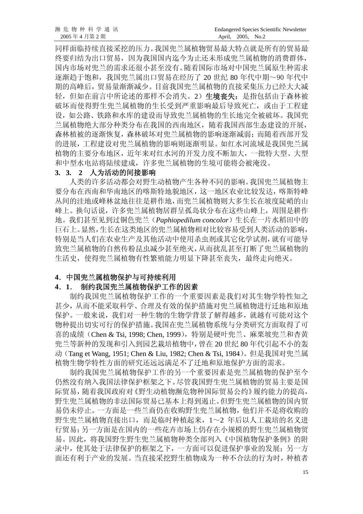同样面临持续直接采挖的压力。我国兜兰属植物贸易最大特点就是所有的贸易最 终要归结为出口贸易,因为我国国内迄今为止还未形成兜兰属植物的消费群体, 国内市场对兜兰的需求还很小甚至没有。随着国际市场对中国兜兰属原生种需求 逐渐趋于饱和,我国兜兰属出口贸易在经历了 20 世纪 80 年代中期~90 年代中 期的高峰后,贸易量渐渐减少。目前我国兜兰属植物的直接采集压力已经大大减 轻,但如在前言中所论述的那样不会消失。2)生境丧失: 是指包括由于森林被 破坏而使得野生兜兰属植物的生长受到严重影响最后导致死亡,或由于工程建 设,如公路、铁路和水库的建设而导致兜兰属植物的生长地完全被破坏。我国兜 兰属植物绝大部分种类分布在我国的西南地区,随着我国西部生态建设的开展, 森林植被的逐渐恢复,森林破坏对兜兰属植物的影响逐渐减弱;而随着西部开发 的进展,工程建设对兜兰属植物的影响则逐渐明显。如红水河流域是我国兜兰属 植物的主要分布地区,近年来对红水河的开发力度不断加大,一批特大型、大型 和中型水电站将陆续建成,许多兜兰属植物的生境可能将会被淹没。

#### **3. 3. 2** 人为活动的间接影响

人类的许多活动都会对野生动植物产生各种不同的影响。我国兜兰属植物主 要分布在西南和华南地区的喀斯特地貌地区,这一地区农业比较发达,喀斯特峰 丛间的洼地或峰林盆地往往是耕作地,而兜兰属植物则大多生长在坡度陡峭的山 峰上。换句话说,许多兜兰属植物居群呈孤岛状分布在这些山峰上,周围是耕作 地。我们甚至见到过铜色兜兰(*Paphiopedilum concolor*)生长在一片水稻田中的 巨石上。显然,生长在这类地区的兜兰属植物相对比较容易受到人类活动的影响, 特别是当人们在农业生产及其他活动中使用杀虫剂或其它化学试剂,就有可能导 致兜兰属植物的自然传粉昆虫减少甚至绝灭,从而扰乱甚至打断了兜兰属植物的 生活史,使得兜兰属植物有性繁殖能力明显下降甚至丧失,最终走向绝灭。

#### **4**.中国兜兰属植物保护与可持续利用

#### **4**.**1**. 制约我国兜兰属植物保护工作的因素

制约我国兜兰属植物保护工作的一个重要因素是我们对其生物学特性知之 甚少,从而不能采取科学、合理及有效的保护措施对兜兰属植物进行迁地和原地 保护。一般来说,我们对一种生物的生物学背景了解得越多,就越有可能对这个 物种提出切实可行的保护措施。我国在兜兰属植物系统与分类研究方面取得了可 喜的成绩(Chen & Tsi, 1998; Chen, 1999),特别是硬叶兜兰、麻栗坡兜兰和杏黄 兜兰等新种的发现和引入到园艺栽培植物中,曾在 20 世纪 80 年代引起不小的轰 动(Tang et Wang, 1951; Chen & Liu, 1982; Chen & Tsi, 1984)。但是我国对兜兰属 植物生物学特性方面的研究还远远满足不了迁地和原地保护方面的需求。

制约我国兜兰属植物保护工作的另一个重要因素是兜兰属植物的保护至今 仍然没有纳入我国法律保护框架之下。尽管我国野生兜兰属植物的贸易主要是国 际贸易, 随着我国政府对《野生动植物濒危物种国际贸易公约》履约能力的提高, 野生兜兰属植物的非法国际贸易已基本上得到遏止。但野生兜兰属植物的国内贸 易仍未停止。一方面是一些兰商仍在收购野生兜兰属植物,他们并不是将收购的 野生兜兰属植物直接出口,而是临时种植起来,1~2 年后以人工栽培的名义进 行贸易;另一方面是在国内的一些花卉市场上仍存在小规模的野生兜兰属植物贸 易。因此,将我国野生野生兜兰属植物种类全部列入《中国植物保护条例》的附 录中,使其处于法律保护的框架之下,一方面可以促进保护事业的发展;另一方 面还有利于产业的发展。当直接采挖野生植物成为一种不合法的行为时,种植者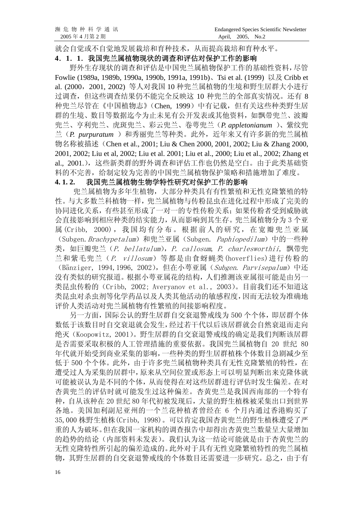就会自觉或不自觉地发展栽培和育种技术,从而提高栽培和育种水平。

#### **4**.**1**.**1**.我国兜兰属植物现状的调查和评估对保护工作的影响

野外生存现状的调查和评估是中国兜兰属植物保护工作的基础性资料,尽管 Fowlie (1989a, 1989b, 1990a, 1990b, 1991a, 1991b)、Tsi et al. (1999) 以及 Cribb et al. (2000,2001, 2002) 等人对我国 10 种兜兰属植物的生境和野生居群大小进行 过调查,但这些调查结果仍不能完全反映这 10 种兜兰的全部真实情况。还有 8 种兜兰尽管在《中国植物志》(Chen, 1999)中有记载,但有关这些种类野生居 群的生境、数目等数据迄今为止未见有公开发表或其他资料,如飘带兜兰、波瓣 兜兰、亨利兜兰、虎斑兜兰、彩云兜兰、卷萼兜兰(*P. appletonianum* )、紫纹兜 兰(*P. purpuratum* )和秀丽兜兰等种类。此外,近年来又有许多新的兜兰属植 物名称被描述(Chen et al., 2001; Liu & Chen 2000, 2001, 2002; Liu & Zhang 2000, 2001, 2002; Liu et al, 2002; Liu et al. 2001; Liu et al., 2000; Liu et al., 2002; Zhang et al., 2001.),这些新类群的野外调查和评估工作也仍然是空白。由于此类基础资 料的不完善,给制定较为完善的中国兜兰属植物保护策略和措施增加了难度。

#### 4.1.2. 我国兜兰属植物生物学特性研究对保护工作的影响

兜兰属植物为多年生植物,大部分种类具有有性繁殖和无性克隆繁殖的特 性。与大多数兰科植物一样,兜兰属植物与传粉昆虫在进化过程中形成了完美的 协同进化关系,有些甚至形成了一对一的专性传粉关系;如果传粉者受到威胁就 会直接影响到相应种类的结实能力,从而影响到其生存。兜兰属植物分为 3 个亚 属 (Cribb, 2000),我国均有分布。根据前人的研究,在宽瓣兜兰亚属 (Subgen. Brachypetalum)和兜兰亚属(Subgen. Paphiopedilum)中的一些种 类, 如巨瓣兜兰(P. bellatulum), P. callosum, P. charlesworthii, 飘带兜 兰和紫毛兜兰(P. villosum)等都是由食蚜蝇类(hoverflies)进行传粉的 (Bänziger, 1994, 1996, 2002), 但在小萼亚属 (Subgen. Parvisepalum) 中还 没有类似的研究报道。根据小萼亚属花的结构,人们推测该亚属很可能是由另一 类昆虫传粉的(Cribb, 2002; Averyanov et al., 2003)。目前我们还不知道这 类昆虫对杀虫剂等化学药品以及人类其他活动的敏感程度,因而无法较为准确地 评价人类活动对兜兰属植物有性繁殖的间接影响程度。

另一方面,国际公认的野生居群自交衰退警戒线为 500 个个体,即居群个体 数低于该数目时自交衰退就会发生,经过若干代以后该居群就会自然衰退而走向 绝灭(Koopowitz, 2001)。野生居群的自交衰退警戒线的确定是我们判断该居群 是否需要采取积极的人工管理措施的重要依据。我国兜兰属植物自 20 世纪 80 年代就开始受到商业采集的影响,一些种类的野生居群植株个体数目急剧减少至 低于500个个体。此外,由于许多兜兰属植物种类具有无性克隆繁殖的特性,在 遭受过人为采集的居群中,原来从空间位置或形态上可以明显判断出来克隆体就 可能被误认为是不同的个体,从而使得在对这些居群进行评估时发生偏差。在对 杏黄兜兰的评估时就可能发生过这种偏差。杏黄兜兰是我国西南部的一个特有 种,自从该种在 20 世纪 80 年代初被发现后,大量的野生植株被采集出口到世界 各地。美国加利副尼亚州的一个兰花种植者曾经在 6 个月内通过香港购买了 35,000 株野生植株(Cribb, 1998)。可以肯定我国杏黄兜兰的野生植株遭受了严 重的人为破坏。但在我国一家机构的调查报告中却得出杏黄兜兰数量呈大量增加 的趋势的结论(内部资料未发表)。我们认为这一结论可能就是由于杏黄兜兰的 无性克隆特性所引起的偏差造成的。此外对于具有无性克隆繁殖特性的兜兰属植 物,其野生居群的自交衰退警戒线的个体数目还需要进一步研究。总之,由于有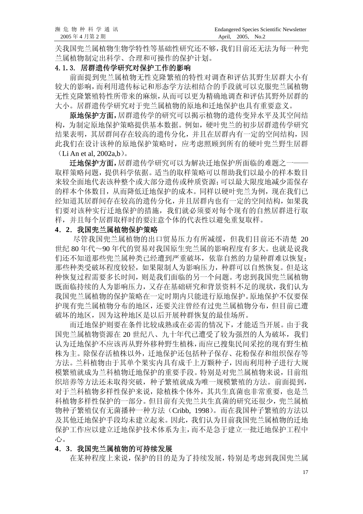关我国兜兰属植物生物学特性等基础性研究还不够,我们目前还无法为每一种兜 兰属植物制定出科学、合理和可操作的保护计划。

#### 4.1**.** 3. 居群遗传学研究对保护工作的影响

前面提到兜兰属植物无性克隆繁殖的特性对调查和评估其野生居群大小有 较大的影响,而利用遗传标记和形态学方法相结合的手段就可以克服兜兰属植物 无性克隆繁殖特性所带来的麻烦,从而可以更为精确地调查和评估其野外居群的 大小。居群遗传学研究对于兜兰属植物的原地和迁地保护也具有重要意义。

原地保护方面,居群遗传学的研究可以揭示植物的遗传变异水平及其空间结 构,为制定原地保护策略提供基本数据。例如,硬叶兜兰的初步居群遗传学研究 结果表明,其居群间存在较高的遗传分化,并且在居群内有一定的空间结构,因 此我们在设计该种的原地保护策略时,应考虑照顾到所有的硬叶兜兰野生居群

(Li An et al, 2002a,b)。

迁地保护方面,居群遗传学研究可以为解决迁地保护所面临的难题之一 取样策略问题,提供科学依据。适当的取样策略可以帮助我们以最小的样本数目 来较全面地代表该种整个或大部分遗传或种质资源;可以最大限度地减少需保存 的样本个体数目,从而降低迁地保护的成本。同样以硬叶兜兰为例,现在我们已 经知道其居群间存在较高的遗传分化,并且居群内也有一定的空间结构,如果我 们要对该种实行迁地保护的措施,我们就必须要对每个现有的自然居群进行取 样,并且每个居群取样时的要注意个体的代表性以避免重复取样。

#### **4**.**2**.我国兜兰属植物保护策略

尽管我国兜兰属植物的出口贸易压力有所减缓,但我们目前还不清楚 20 世纪 80 年代~90 年代的贸易对我国原生兜兰属的影响程度有多大。也就是说我 们还不知道那些兜兰属种类已经遭到严重破坏,依靠自然的力量种群难以恢复; 那些种类受破坏程度较轻,如果限制人为影响压力,种群可以自然恢复。但是这 种恢复过程需要多长时间,则是我们面临的另一个问题。考虑到我国兜兰属植物 既面临持续的人为影响压力,又存在基础研究和背景资料不足的现状,我们认为 我国兜兰属植物的保护策略在一定时期内只能进行原地保护。原地保护不仅要保 护现有兜兰属植物分布的地区,还要关注曾经有过兜兰属植物分布,但目前已遭 破坏的地区,因为这种地区是以后开展种群恢复的最佳场所。

而迁地保护则要在条件比较成熟或在必需的情况下,才能适当开展。由于我 国兜兰属植物资源在 20 世纪八、九十年代已遭受了较为强烈的人为破坏,我们 认为迁地保护不应该再从野外移种野生植株,而应已搜集民间采挖的现有野生植 株为主。除保存活植株以外,迁地保护还包括种子保存、花粉保存和组织保存等 方法。兰科植物由于其单个果实内具有成千上万颗种子,因而利用种子进行大规 模繁殖就成为兰科植物迁地保护的重要手段。特别是对兜兰属植物来说,目前组 织培养等方法还未取得突破,种子繁殖就成为唯一规模繁殖的方法。前面提到, 对于兰科植物多样性保护来说,除植株个体外,其共生真菌也非常重要,也是兰 科植物多样性保护的一部分。但目前有关兜兰共生真菌的研究还很少,兜兰属植 物种子繁殖仅有无菌播种一种方法(Cribb, 1998)。而在我国种子繁殖的方法以 及其他迁地保护手段均未建立起来。因此,我们认为目前我国兜兰属植物的迁地 保护工作应以建立迁地保护技术体系为主,而不是急于建立一批迁地保护工程中 心。

#### **4**.**3**.我国兜兰属植物的可持续发展

在某种程度上来说,保护的目的是为了持续发展,特别是考虑到我国兜兰属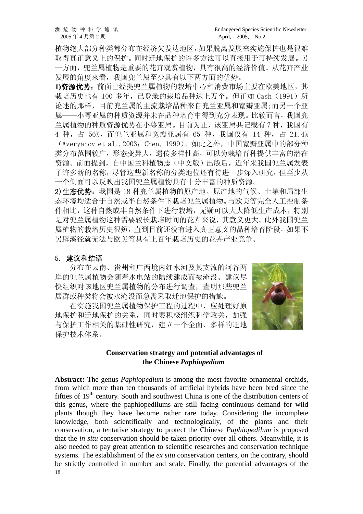植物绝大部分种类都分布在经济欠发达地区,如果脱离发展来实施保护也是很难 取得真正意义上的保护。同时迁地保护的许多方法可以直接用于可持续发展。另 一方面,兜兰属植物是重要的花卉观赏植物,具有很高的经济价值。从花卉产业 发展的角度来看,我国兜兰属至少具有以下两方面的优势。

**1)**资源优势:前面已经提兜兰属植物的栽培中心和消费市场主要在欧美地区,其 栽培历史也有 100 多年, 已登录的栽培品种达上万个。但正如 Cash (1991) 所 论述的那样,目前兜兰属的主流栽培品种来自兜兰亚属和宽瓣亚属;而另一个亚 属——小萼亚属的种质资源并未在品种培育中得到充分表现。比较而言,我国兜 兰属植物的种质资源优势在小萼亚属。目前为止,该亚属共记载有 7 种,我国有 4 种,占 56%,而兜兰亚属和宽瓣亚属有 65 种,我国仅有 14 种,占 21.4% (Averyanov et al.,2003;Chen, 1999)。如此之外,中国宽瓣亚属中的部分种 类分布范围较广,形态变异大,遗传多样性高,可以为栽培育种提供丰富的潜在 资源。前面提到,自中国兰科植物志(中文版)出版后,近年来我国兜兰属发表 了许多新的名称,尽管这些新名称的分类地位还有待进一步深入研究,但至少从 一个侧面可以反映出我国兜兰属植物具有十分丰富的种质资源。

2)生态优势:我国是 18 种兜兰属植物的原产地。原产地的气候、土壤和局部生 态环境均适合于自然或半自然条件下栽培兜兰属植物。与欧美等完全人工控制条 件相比,这种自然或半自然条件下进行栽培,无疑可以大大降低生产成本,特别 是对兜兰属植物这种需要较长栽培时间的花卉来说,其意义更大。此外我国兜兰 属植物的栽培历史很短,直到目前还没有进入真正意义的品种培育阶段,如果不 另辟溪径就无法与欧美等具有上百年栽培历史的花卉产业竞争。

#### 5. 建议和结语

分布在云南、贵州和广西境内红水河及其支流的河谷两 岸的兜兰属植物会随着水电站的陆续建成而被淹没。建议尽 快组织对该地区兜兰属植物的分布进行调查,查明那些兜兰 居群或种类将会被水淹没而急需采取迁地保护的措施。

在实施我国兜兰属植物保护工程的过程中,应处理好原 地保护和迁地保护的关系,同时要积极组织科学攻关,加强 与保护工作相关的基础性研究,建立一个全面、多样的迁地 保护技术体系。



#### **Conservation strategy and potential advantages of the Chinese** *Paphiopedium*

18 **Abstract:** The genus *Paphiopedium* is among the most favorite ornamental orchids, from which more than ten thousands of artificial hybrids have been bred since the fifties of  $19<sup>th</sup>$  century. South and southwest China is one of the distribution centers of this genus, where the paphiopedilums are still facing continuous demand for wild plants though they have become rather rare today. Considering the incomplete knowledge, both scientifically and technologically, of the plants and their conservation, a tentative strategy to protect the Chinese *Paphiopedilum* is proposed that the *in situ* conservation should be taken priority over all others. Meanwhile, it is also needed to pay great attention to scientific researches and conservation technique systems. The establishment of the *ex situ* conservation centers, on the contrary, should be strictly controlled in number and scale. Finally, the potential advantages of the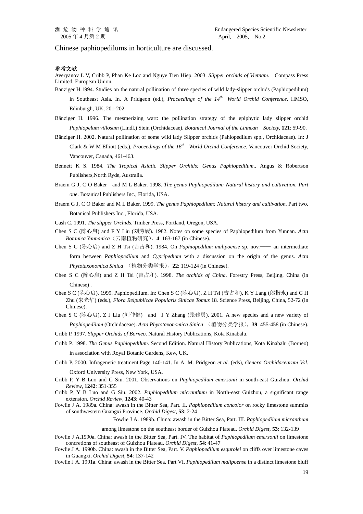Chinese paphiopedilums in horticulture are discussed.

#### 参考文献

Averyanov L V, Cribb P, Phan Ke Loc and Nguye Tien Hiep. 2003. *Slipper orchids of Vietnam.* Compass Press Limited, European Union.

- Bänziger H.1994. Studies on the natural pollination of three species of wild lady-slipper orchids (Paphiopedilum) in Southeast Asia. In. A Pridgeon (ed.), *Proceedings of the 14th World Orchid Conference*. HMSO, Edinburgh, UK, 201-202.
- Bänziger H. 1996. The mesmerizing wart: the pollination strategy of the epiphytic lady slipper orchid *Paphiopelum villosum* (Lindl.) Stein (Orchidaceae). *Botanical Journal of the Linnean Society,* **121**: 59-90.
- Bänziger H. 2002. Natural pollination of some wild lady Slipper orchids (Pahiopedilum spp., Orchidaceae). In: J Clark & W M Elliott (eds.), *Proceedings of the 16<sup>th</sup> World Orchid Conference*. Vancouver Orchid Society, Vancouver, Canada, 461-463.
- Bennett K S. 1984. *The Tropical Asiatic Slipper Orchids: Genus Paphiopedilum*.. Angus & Robertson Publishers,North Ryde, Australia.
- Braem G J, C O Baker and M L Baker. 1998. *The genus Paphiopedilum: Natural history and cultivation. Part one*. Botanical Publishers Inc., Florida, USA.
- Braem G J, C O Baker and M L Baker. 1999. *The genus Paphiopedilum: Natural history and cultivation*. Part two. Botanical Publishers Inc., Florida, USA.
- Cash C. 1991. *The slipper Orchids*. Timber Press, Portland, Oregon, USA.
- Chen S C (陈心启) and F Y Liu (刘芳媛). 1982. Notes on some species of Paphiopedilum from Yunnan. *Acta Botanica Yunnanica*(云南植物研究),**4**: 163-167 (in Chinese).
- Chen S C (陈心启) and Z H Tsi (吉占和). 1984. On *Paphiopedilum malipoense* sp. nov.—— an intermediate form between *Paphiopedilum* and *Cypripedium* with a discussion on the origin of the genus. *Acta Phytotaxonomica Sinica* (植物分类学报),**22**: 119-124 (in Chinese).
- Chen S C (陈心启) and Z H Tsi (吉占和). 1998. *The orchids of China*. Forestry Press, Beijing, China (in Chinese) .
- Chen S C (陈心启). 1999. Paphiopedilum. In: Chen S C (陈心启), Z H Tsi (吉占和), K Y Lang (郎楷永) and G H Zhu (朱光华) (eds.), *Flora Reipublicae Popularis Sinicae Tomus* 18*.* Science Press, Beijing, China, 52-72 (in Chinese).
- Chen S C (陈心启), Z J Liu (刘仲健) and J Y Zhang (张建勇). 2001. A new species and a new variety of *Paphiopedilum* (Orchidaceae). *Acta Phytotaxonomica Sinica* (植物分类学报),**39**: 455-458 (in Chinese).
- Cribb P. 1997. *Slipper Orchids of Borneo*. Natural History Publications, Kota Kinabalu.
- Cribb P. 1998. *The Genus Paphiopedilum*. Second Edition. Natural History Publications, Kota Kinabalu (Borneo) in association with Royal Botanic Gardens, Kew, UK.
- Cribb P. 2000. Infragenetic treatment.Page 140-141. In A. M. Pridgeon *et al.* (eds), *Genera Orchidacearum Vol*. Oxford University Press, New York, USA.
- Cribb P, Y B Luo and G Siu. 2001. Observations on *Paphiopedilum emersonii* in south-east Guizhou. *Orchid Review*, **1242**: 351-355
- Cribb P, Y B Luo and G Siu. 2002. *Paphiopedilum micranthum* in North-east Guizhou, a significant range extension. *Orchid Review*, **1243**: 40-43
- Fowlie J A. 1989a. China: awash in the Bitter Sea, Part. II. *Paphiopedilum concolor* on rocky limestone summits of southwestern Guangxi Province. *Orchid Digest*, **53**: 2-24

Fowlie J A. 1989b. China: awash in the Bitter Sea, Part. III. *Paphiopedilum micranthum*

among limestone on the southeast border of Guizhou Plateau. *Orchid Digest*, **53**: 132-139

- Fowlie J A.1990a. China: awash in the Bitter Sea, Part. IV. The habitat of *Paphiopedilum emersonii* on limestone concretions of southeast of Guizhou Plateau. *Orchid Digest*, **54**: 41-47
- Fowlie J A. 1990b. China: awash in the Bitter Sea, Part. V. *Paphiopedilum esqurolei* on cliffs over limestone caves in Guangxi. *Orchid Digest*, **54**: 137-142
- Fowlie J A. 1991a. China: awash in the Bitter Sea. Part VI. *Paphiopedilum malipoense* in a distinct limestone bluff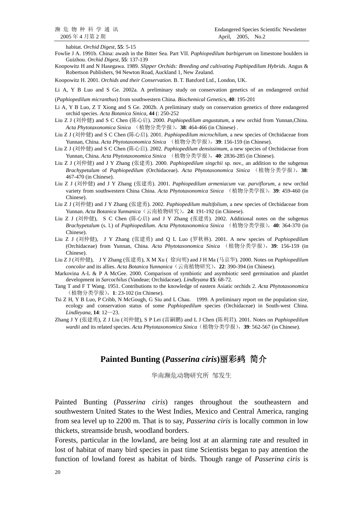habitat. *Orchid Digest*, **55**: 5-15

- Fowlie J A. 1991b. China: awash in the Bitter Sea. Part VII. *Paphiopedilum barbigerum* on limestone boulders in Guizhou. *Orchid Digest*, **55**: 137-139
- Koopowitz H and N Hasegawa. 1989. *Slipper Orchids: Breeding and cultivating Paphipedilum Hybrids*. Angus & Robertson Publishers, 94 Newton Road, Auckland 1, New Zealand.

Koopowitz H. 2001. *Orchids and their Conservation*. B. T. Batsford Ltd., London, UK.

Li A, Y B Luo and S Ge. 2002a. A preliminary study on conservation genetics of an endangered orchid

- (*Paphiopedilum micranthus*) from southwestern China. *Biochemical Genetics*, **40**: 195-201
- Li A, Y B Luo, Z T Xiong and S Ge. 2002b. A preliminary study on conservation genetics of three endangered orchid species. *Acta Botanica Sinica*, **44** (: 250-252
- Liu Z J (刘仲健) and S C Chen (陈心启). 2000. *Paphiopedilum angustatum*, a new orchid from Yunnan,China. *Acta Phytotaxonomica Sinica* (植物分类学报),**38**: 464-466 (in Chinese) .
- Liu Z J (刘仲健) and S C Chen (陈心启). 2001. *Paphiopedilum microchilum*, a new species of Orchidaceae from Yunnan, China. *Acta Phytotaxonomica Sinica* (植物分类学报),**39**: 156-159 (in Chinese).
- Liu Z J (刘仲健) and S C Chen (陈心启). 2002. *Paphiopedilum densissimum*, a new species of Orchidaceae from Yunnan, China. *Acta Phytotaxonomica Sinica* (植物分类学报),**40**: 2836-285 (in Chinese).
- Liu Z J (刘仲健) and J Y Zhang (张建勇). 2000. *Paphiopedilum singchii* sp. nov., an addition to the subgenus *Brachypetalum* of *Paphiopedilum* (Orchidaceae). *Acta Phytotaxonomica Sinica* (植物分类学报),**38**: 467-470 (in Chinese).
- Liu Z J (刘仲健) and J Y Zhang (张建勇). 2001. *Paphiopedilum armeniacum* var. *parviflorum*, a new orchid variety from southwestern China China. *Acta Phytotaxonomica Sinica* (植物分类学报),**39**: 459-460 (in Chinese).
- Liu Z J (刘仲健) and J Y Zhang (张建勇). 2002. *Paphiopedilum multifolium*, a new species of Orchidaceae from Yunnan. *Acta Botanica Yunnanica*(云南植物研究),**24**: 191-192 (in Chinese).
- Liu Z J (刘仲健), S C Chen (陈心启) and J Y Zhang (张建勇). 2002. Additional notes on the subgenus *Brachypetalum* (s. l.) of *Paphiopedilum*. *Acta Phytotaxonomica Sinica* (植物分类学报),**40**: 364-370 (in Chinese).
- Liu Z J (刘仲健), J Y Zhang (张建勇) and Q L Luo (罗秋林). 2001. A new species of *Paphiopedilum* (Orchidaceae) from Yunnan, China. *Acta Phytotaxonomica Sinica* (植物分类学报),**39**: 156-159 (in Chinese).
- Liu Z J (刘仲健), J Y Zhang (张建勇), X M Xu ( 徐向明) and J H Ma (马京华). 2000. Notes on *Paphiopedilum concolor* and its allies. *Acta Botanica Yunnanica*(云南植物研究),**22**: 390-394 (in Chinese).
- Markovina A-L & P A McGee. 2000. Comparison of symbiotic and asymbiotic seed germination and plantlet development in *Sarcochilus* (Vandeae; Orchidaceae). *Lindleyana* **15**: 68-72.
- Tang T and F T Wang. 1951. Contributions to the knowledge of eastern Asiatic orchids 2. *Acta Phytotaxonomica* (植物分类学报),**1**: 23-102 (in Chinese).
- Tsi Z H, Y B Luo, P Cribb, N McGough, G Siu and L Chau. 1999. A preliminary report on the population size, ecology and conservation status of some *Paphiopedilum* species (Orchidaceae) in South-west China. *Lindleyana*, **14**: 12—23.
- Zhang J Y (张建勇), Z J Liu (刘仲健), S P Lei (雷嗣鹏) and L J Chen (陈利君). 2001. Notes on *Paphiopedilum wardii* and its related species. *Acta Phytotaxonomica Sinica*(植物分类学报),**39**: 562-567 (in Chinese).

#### **Painted Bunting (***Passerina ciris***)**丽彩鹀 简介

华南濒危动物研究所 邹发生

Painted Bunting (*Passerina ciris*) ranges throughout the southeastern and southwestern United States to the West Indies, Mexico and Central America, ranging from sea level up to 2200 m. That is to say, *Passerina ciris* is locally common in low thickets, streamside brush, woodland borders.

Forests, particular in the lowland, are being lost at an alarming rate and resulted in lost of habitat of many bird species in past time Scientists began to pay attention the function of lowland forest as habitat of birds. Though range of *Passerina ciris* is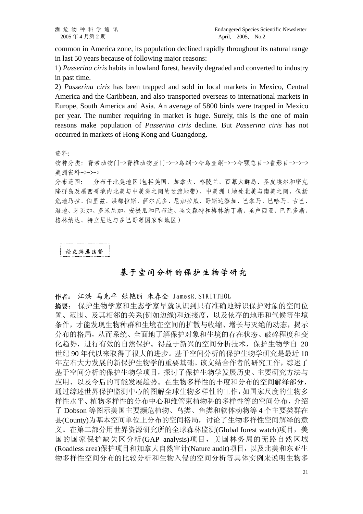common in America zone, its population declined rapidly throughout its natural range in last 50 years because of following major reasons:

1) *Passerina ciris* habits in lowland forest, heavily degraded and converted to industry in past time.

2) *Passerina ciris* has been trapped and sold in local markets in Mexico, Central America and the Caribbean, and also transported overseas to international markets in Europe, South America and Asia. An average of 5800 birds were trapped in Mexico per year. The number requiring in market is huge. Surely, this is the one of main reasons make population of *Passerina ciris* decline. But *Passerina ciris* has not occurred in markets of Hong Kong and Guangdong.

资料:

物种分类:脊索动物门->脊椎动物亚门->->鸟纲->今鸟亚纲->->今颚总目->雀形目->->-> 美洲雀科->->->

分布范围: 分布于北美地区(包括美国、加拿大、格陵兰、百慕大群岛、圣皮埃尔和密克 隆群岛及墨西哥境内北美与中美洲之间的过渡地带)、中美洲(地处北美与南美之间,包括 危地马拉、伯里兹、洪都拉斯、萨尔瓦多、尼加拉瓜、哥斯达黎加、巴拿马、巴哈马、古巴、 海地、牙买加、多米尼加、安提瓜和巴布达、圣文森特和格林纳丁斯、圣卢西亚、巴巴多斯、 格林纳达、特立尼达与多巴哥等国家和地区)

论文摘要选登

#### 基于空间分析的保护生物学研究

作者: 江洪 马克平 张艳丽 朱春全 JamesR.STRITTHOL

摘要: 保护生物学家和生态学家早就认识到只有准确地辨识保护对象的空间位 置、范围、及其相邻的关系(例如边缘)和连接度,以及依存的地形和气候等生境 条件,才能发现生物种群和生境在空间的扩散与收缩、增长与灭绝的动态,揭示 分布的格局,从而系统、全面地了解保护对象和生境的存在状态、破碎程度和变 化趋势,进行有效的自然保护。得益于新兴的空间分析技术,保护生物学自 20 世纪 90 年代以来取得了很大的进步。基于空间分析的保护生物学研究是最近 10 年左右大力发展的新保护生物学的重要基础。该文结合作者的研究工作,综述了 基于空间分析的保护生物学项目,探讨了保护生物学发展历史、主要研究方法与 应用、以及今后的可能发展趋势。在生物多样性的丰度和分布的空间解绎部分, 通过综述世界保护监测中心的图解全球生物多样性的工作,如国家尺度的生物多 样性水平、植物多样性的分布中心和维管束植物科的多样性等的空间分布,介绍 了 Dobson 等图示美国主要濒危植物、鸟类、鱼类和软体动物等 4 个主要类群在 县(County)为基本空间单位上分布的空间格局,讨论了生物多样性空间解绎的意 义。在第二部分用世界资源研究所的全球森林监测(Global forest watch)项目,美 国的国家保护缺失区分析(GAP analysis)项目,美国林务局的无路自然区域 (Roadless area)保护项目和加拿大自然审计(Nature audit)项目,以及北美和东亚生 物多样性空间分布的比较分析和生物入侵的空间分析等具体实例来说明生物多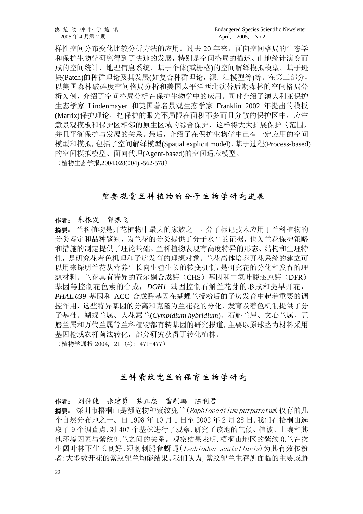样性空间分布变化比较分析方法的应用。过去 20 年来,面向空间格局的生态学 和保护生物学研究得到了快速的发展,特别是空间格局的描述、由地统计演变而 成的空间统计、地理信息系统、基于个体(或栅格)的空间解绎模拟模型、基于斑 块(Patch)的种群理论及其发展(如复合种群理论,源. 汇模型等)等。在第三部分, 以美国森林破碎度空间格局分析和美国太平洋西北演替后期森林的空间格局分 析为例,介绍了空间格局分析在保护生物学中的应用。同时介绍了澳大利亚保护 生态学家 Lindenmayer 和美国著名景观生态学家 Franklin 2002 年提出的模板 (Matrix)保护理论,把保护的眼光不局限在面积不多而且分散的保护区中,应注 意景观模板和保护区相邻的原生区域的综合保护,这样将大大扩展保护的范围, 并且平衡保护与发展的关系。最后,介绍了在保护生物学中已有一定应用的空间 模型和模拟,包括了空间解绎模型(Spatial explicit model)、基于过程(Process-based) 的空间模拟模型、面向代理(Agent-based)的空间适应模型。

(植物生态学报.2004.028(004).-562-578)

#### 重要观赏兰科植物的分子生物学研究进展

#### 作者: 朱根发 郭振飞

摘要: 兰科植物是开花植物中最大的家族之一,分子标记技术应用于兰科植物的 分类鉴定和品种鉴别,为兰花的分类提供了分子水平的证据,也为兰花保护策略 和措施的制定提供了理论基础。兰科植物表现有高度特异的形态、结构和生理特 性,是研究花着色机理和子房发育的理想对象。兰花离体培养开花系统的建立可 以用来探明兰花从营养生长向生殖生长的转变机制,是研究花的分化和发育的理 想材料。兰花具有特异的查尔酮合成酶(CHS)基因和二氢叶酸还原酶(DFR) 基因等控制花色素的合成,*DOH1* 基因控制石斛兰花芽的形成和提早开花, *PHAL.039* 基因和 ACC 合成酶基因在蝴蝶兰授粉后的子房发育中起着重要的调 控作用,这些特异基因的分离和克隆为兰花花的分化、发育及着色机制提供了分 子基础。蝴蝶兰属、大花蕙兰(*Cymbidium hybridium*)、石斛兰属、文心兰属、五 唇兰属和万代兰属等兰科植物都有转基因的研究报道,主要以原球茎为材料采用 基因枪或农杆菌法转化,部分研究获得了转化植株。 (植物学通报 2004, 21 (4): 471-477)

#### 兰科紫纹兜兰的保育生物学研究

作者: 刘仲健 张建勇 茹正忠 雷嗣鹏 陈利君 摘要: 深圳市梧桐山是濒危物种紫纹兜兰(Paphiopedilum purpuratum)仅存的几 个自然分布地之一。自 1998 年 10 月 1 日至 2002 年 2 月 28 日,我们在梧桐山选 取了 9 个调查点,对 407 个基株进行了观察,研究了该地的气候、植被、土壤和其 他环境因素与紫纹兜兰之间的关系。观察结果表明,梧桐山地区的紫纹兜兰在次 生阔叶林下生长良好;短刺刺腿食蚜蝇(Ischiodon scutellaris)为其有效传粉 者;大多数开花的紫纹兜兰均能结果。我们认为,紫纹兜兰生存所面临的主要威胁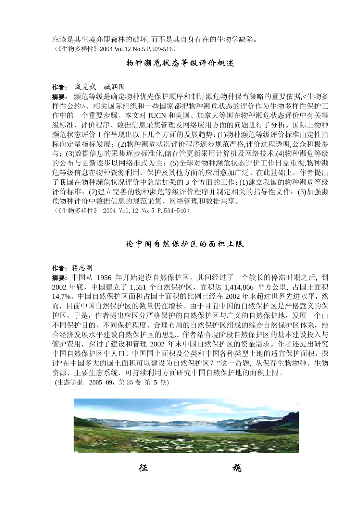应该是其生境亦即森林的破坏,而不是其自身存在的生物学缺陷。 (《生物多样性》2004 Vol.12 No.5 P.509-516)

#### 物种濒危状态等级评价概述

#### 作者: 成克武 臧润国

摘要: 濒危等级是确定物种优先保护顺序和制订濒危物种保育策略的重要依据,<生物多 样性公约>、相关国际组织和一些国家都把物种濒危状态的评价作为生物多样性保护工 作中的一个重要步骤。本文对 IUCN 和美国、加拿大等国在物种濒危状态评价中有关等 级标准、评价程序、数据信息采集管理及网络应用方面的问题进行了分析。国际上物种 濒危状态评价工作呈现出以下几个方面的发展趋势:(1)物种濒危等级评价标准由定性指 标向定量指标发展;(2)物种濒危状况评价程序逐步规范严格,评价过程透明,公众积极参 与;(3)数据信息的采集逐步标准化,储存管更新采用计算机及网络技术;(4)物种濒危等级 的公布与更新逐步以网络形式为主;(5)全球对物种濒危状态评价工作日益重视,物种濒 危等级信息在物种资源利用、保护及其他方面的应用愈加广泛。在此基础上,作者提出 了我国在物种濒危状况评价中急需加强的 3 个方面的工作:(1)建立我国的物种濒危等级 评价标准:(2)建立完善的物种濒危等级评价程序并制定相关的指导性文件;(3)加强濒 危物种评价中数据信息的规范采集、网络管理和数据共享。

(《生物多样性》 2004 Vol.12 No.5 P.534-540)

#### 论中国自然保护区的面积上限

#### 作者:蒋志刚

摘要**:** 中国从 1956 年开始建设自然保护区,其间经过了一个较长的停滞时期之后, 到 2002 年底,中国建立了 1,551 个自然保护区,面积达 1,414,866 平方公里, 占国土面积 14.7%。中国自然保护区面积占国土面积的比例已经在 2002 年末超过世界先进水平,然 而,目前中国自然保护区的数量仍在增长。由于目前中国的自然保护区是严格意义的保 护区,于是,作者提出应区分严格保护的自然保护区与广义的自然保护地,发展一个由 不同保护目的、不同保护程度、合理布局的自然保护区组成的综合自然保护区体系,结 合经济发展水平建设自然保护区的思想。作者结合现阶段自然保护区的基本建设投入与 管护费用,探讨了建设和管理 2002 年末中国自然保护区的资金需求。作者还提出研究 中国自然保护区中人口、中国国土面积及分类和中国各种类型土地的适宜保护面积,探 讨"在中国多大的国土面积可以建设为自然保护区?"这一命题, 从保存生物物种、生物 资源、主要生态系统、可持续利用方面研究中国自然保护地的面积上限。 (生态学报 2005 -09,第 25 卷 第 5 期)



征 稿